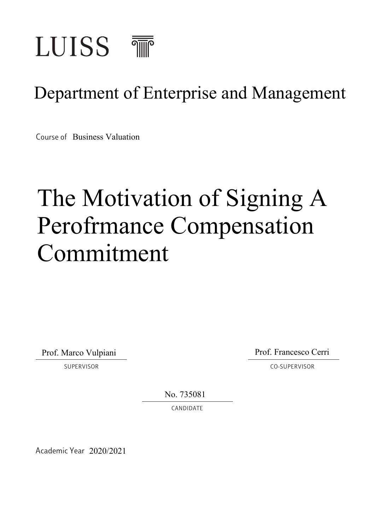

# Department of Enterprise and Management

Course of Business Valuation

# The Motivation of Signing A Perofrmance Compensation Commitment

Prof. Marco Vulpiani

Prof. Francesco Cerri

SUPERVISOR CO-SUPERVISOR CONFERVISOR

No. 735081

CANDIDATE

Academic Year 2020/2021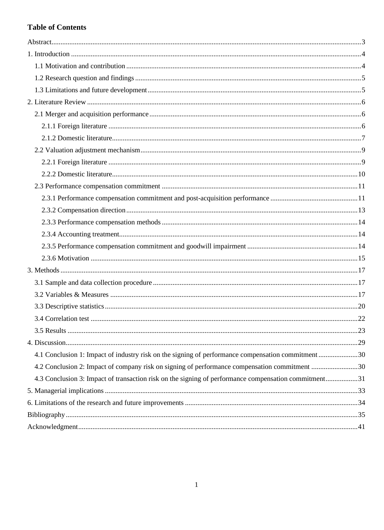### **Table of Contents**

| 4.1 Conclusion 1: Impact of industry risk on the signing of performance compensation commitment 30   |  |
|------------------------------------------------------------------------------------------------------|--|
| 4.2 Conclusion 2: Impact of company risk on signing of performance compensation commitment 30        |  |
| 4.3 Conclusion 3: Impact of transaction risk on the signing of performance compensation commitment31 |  |
|                                                                                                      |  |
|                                                                                                      |  |
|                                                                                                      |  |
|                                                                                                      |  |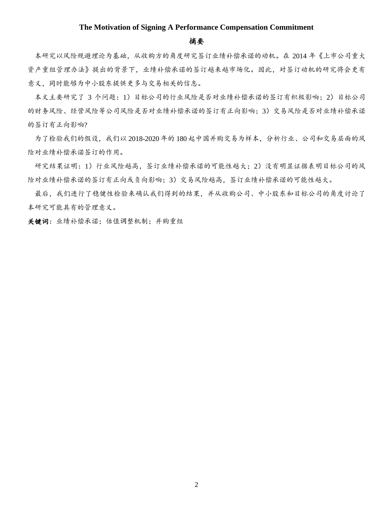#### **The Motivation of Signing A Performance Compensation Commitment**

#### 摘要

 本研究以风险规避理论为基础,从收购方的角度研究签订业绩补偿承诺的动机。在 2014 年《上市公司重大 资产重组管理办法》提出的背景下,业绩补偿承诺的签订越来越市场化。因此,对签订动机的研究将会更有 意义,同时能够为中小股东提供更多与交易相关的信息。

 本文主要研究了 3 个问题:1)目标公司的行业风险是否对业绩补偿承诺的签订有积极影响;2)目标公司 的财务风险、经营风险等公司风险是否对业绩补偿承诺的签订有正向影响;3)交易风险是否对业绩补偿承诺 的签订有正向影响?

 为了检验我们的假设,我们以 2018-2020 年的 180 起中国并购交易为样本,分析行业、公司和交易层面的风 险对业绩补偿承诺签订的作用。

 研究结果证明:1)行业风险越高,签订业绩补偿承诺的可能性越大;2)没有明显证据表明目标公司的风 险对业绩补偿承诺的签订有正向或负向影响;3)交易风险越高,签订业绩补偿承诺的可能性越大。

 最后,我们进行了稳健性检验来确认我们得到的结果,并从收购公司、中小股东和目标公司的角度讨论了 本研究可能具有的管理意义。

<span id="page-2-0"></span>关键词: 业绩补偿承诺;估值调整机制;并购重组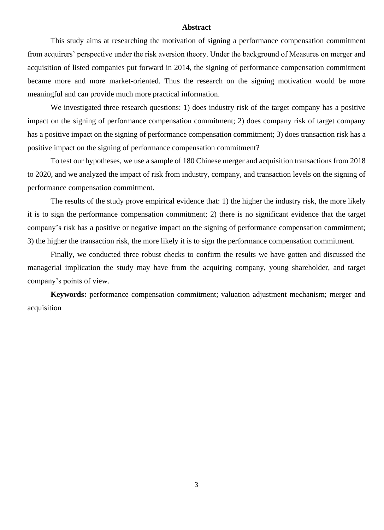#### **Abstract**

This study aims at researching the motivation of signing a performance compensation commitment from acquirers' perspective under the risk aversion theory. Under the background of Measures on merger and acquisition of listed companies put forward in 2014, the signing of performance compensation commitment became more and more market-oriented. Thus the research on the signing motivation would be more meaningful and can provide much more practical information.

We investigated three research questions: 1) does industry risk of the target company has a positive impact on the signing of performance compensation commitment; 2) does company risk of target company has a positive impact on the signing of performance compensation commitment; 3) does transaction risk has a positive impact on the signing of performance compensation commitment?

To test our hypotheses, we use a sample of 180 Chinese merger and acquisition transactions from 2018 to 2020, and we analyzed the impact of risk from industry, company, and transaction levels on the signing of performance compensation commitment.

The results of the study prove empirical evidence that: 1) the higher the industry risk, the more likely it is to sign the performance compensation commitment; 2) there is no significant evidence that the target company's risk has a positive or negative impact on the signing of performance compensation commitment; 3) the higher the transaction risk, the more likely it is to sign the performance compensation commitment.

Finally, we conducted three robust checks to confirm the results we have gotten and discussed the managerial implication the study may have from the acquiring company, young shareholder, and target company's points of view.

**Keywords:** performance compensation commitment; valuation adjustment mechanism; merger and acquisition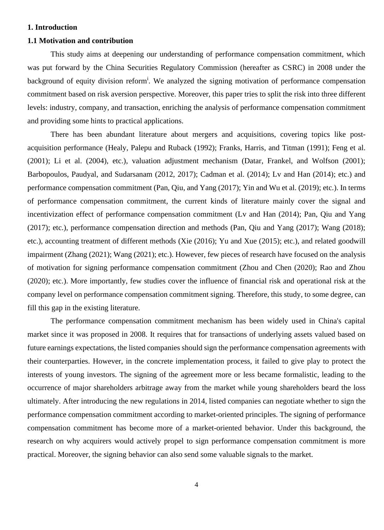#### <span id="page-4-0"></span>**1. Introduction**

#### <span id="page-4-1"></span>**1.1 Motivation and contribution**

This study aims at deepening our understanding of performance compensation commitment, which was put forward by the China Securities Regulatory Commission (hereafter as CSRC) in 2008 under the background of equity division reform<sup>i</sup>. We analyzed the signing motivation of performance compensation commitment based on risk aversion perspective. Moreover, this paper tries to split the risk into three different levels: industry, company, and transaction, enriching the analysis of performance compensation commitment and providing some hints to practical applications.

There has been abundant literature about mergers and acquisitions, covering topics like postacquisition performance (Healy, Palepu and Ruback (1992); Franks, Harris, and Titman (1991); Feng et al. (2001); Li et al. (2004), etc.), valuation adjustment mechanism (Datar, Frankel, and Wolfson (2001); Barbopoulos, Paudyal, and Sudarsanam (2012, 2017); Cadman et al. (2014); Lv and Han (2014); etc.) and performance compensation commitment (Pan, Qiu, and Yang (2017); Yin and Wu et al. (2019); etc.). In terms of performance compensation commitment, the current kinds of literature mainly cover the signal and incentivization effect of performance compensation commitment (Lv and Han (2014); Pan, Qiu and Yang (2017); etc.), performance compensation direction and methods (Pan, Qiu and Yang (2017); Wang (2018); etc.), accounting treatment of different methods (Xie (2016); Yu and Xue (2015); etc.), and related goodwill impairment (Zhang (2021); Wang (2021); etc.). However, few pieces of research have focused on the analysis of motivation for signing performance compensation commitment (Zhou and Chen (2020); Rao and Zhou (2020); etc.). More importantly, few studies cover the influence of financial risk and operational risk at the company level on performance compensation commitment signing. Therefore, this study, to some degree, can fill this gap in the existing literature.

The performance compensation commitment mechanism has been widely used in China's capital market since it was proposed in 2008. It requires that for transactions of underlying assets valued based on future earnings expectations, the listed companies should sign the performance compensation agreements with their counterparties. However, in the concrete implementation process, it failed to give play to protect the interests of young investors. The signing of the agreement more or less became formalistic, leading to the occurrence of major shareholders arbitrage away from the market while young shareholders beard the loss ultimately. After introducing the new regulations in 2014, listed companies can negotiate whether to sign the performance compensation commitment according to market-oriented principles. The signing of performance compensation commitment has become more of a market-oriented behavior. Under this background, the research on why acquirers would actively propel to sign performance compensation commitment is more practical. Moreover, the signing behavior can also send some valuable signals to the market.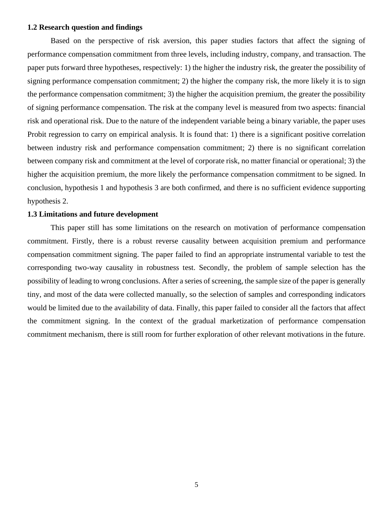#### <span id="page-5-0"></span>**1.2 Research question and findings**

Based on the perspective of risk aversion, this paper studies factors that affect the signing of performance compensation commitment from three levels, including industry, company, and transaction. The paper puts forward three hypotheses, respectively: 1) the higher the industry risk, the greater the possibility of signing performance compensation commitment; 2) the higher the company risk, the more likely it is to sign the performance compensation commitment; 3) the higher the acquisition premium, the greater the possibility of signing performance compensation. The risk at the company level is measured from two aspects: financial risk and operational risk. Due to the nature of the independent variable being a binary variable, the paper uses Probit regression to carry on empirical analysis. It is found that: 1) there is a significant positive correlation between industry risk and performance compensation commitment; 2) there is no significant correlation between company risk and commitment at the level of corporate risk, no matter financial or operational; 3) the higher the acquisition premium, the more likely the performance compensation commitment to be signed. In conclusion, hypothesis 1 and hypothesis 3 are both confirmed, and there is no sufficient evidence supporting hypothesis 2.

#### <span id="page-5-1"></span>**1.3 Limitations and future development**

<span id="page-5-2"></span>This paper still has some limitations on the research on motivation of performance compensation commitment. Firstly, there is a robust reverse causality between acquisition premium and performance compensation commitment signing. The paper failed to find an appropriate instrumental variable to test the corresponding two-way causality in robustness test. Secondly, the problem of sample selection has the possibility of leading to wrong conclusions. After a series of screening, the sample size of the paper is generally tiny, and most of the data were collected manually, so the selection of samples and corresponding indicators would be limited due to the availability of data. Finally, this paper failed to consider all the factors that affect the commitment signing. In the context of the gradual marketization of performance compensation commitment mechanism, there is still room for further exploration of other relevant motivations in the future.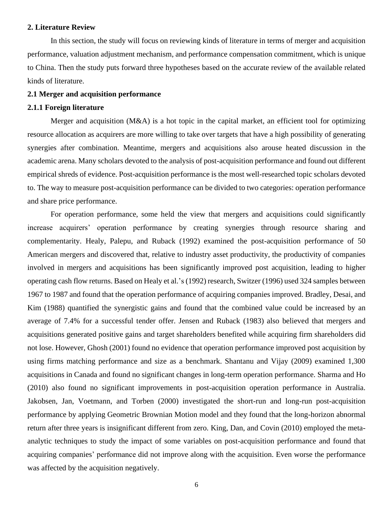#### **2. Literature Review**

In this section, the study will focus on reviewing kinds of literature in terms of merger and acquisition performance, valuation adjustment mechanism, and performance compensation commitment, which is unique to China. Then the study puts forward three hypotheses based on the accurate review of the available related kinds of literature.

#### <span id="page-6-0"></span>**2.1 Merger and acquisition performance**

#### <span id="page-6-1"></span>**2.1.1 Foreign literature**

Merger and acquisition (M&A) is a hot topic in the capital market, an efficient tool for optimizing resource allocation as acquirers are more willing to take over targets that have a high possibility of generating synergies after combination. Meantime, mergers and acquisitions also arouse heated discussion in the academic arena. Many scholars devoted to the analysis of post-acquisition performance and found out different empirical shreds of evidence. Post-acquisition performance is the most well-researched topic scholars devoted to. The way to measure post-acquisition performance can be divided to two categories: operation performance and share price performance.

For operation performance, some held the view that mergers and acquisitions could significantly increase acquirers' operation performance by creating synergies through resource sharing and complementarity. Healy, Palepu, and Ruback (1992) examined the post-acquisition performance of 50 American mergers and discovered that, relative to industry asset productivity, the productivity of companies involved in mergers and acquisitions has been significantly improved post acquisition, leading to higher operating cash flow returns. Based on Healy et al.'s (1992) research, Switzer (1996) used 324 samples between 1967 to 1987 and found that the operation performance of acquiring companies improved. Bradley, Desai, and Kim (1988) quantified the synergistic gains and found that the combined value could be increased by an average of 7.4% for a successful tender offer. Jensen and Ruback (1983) also believed that mergers and acquisitions generated positive gains and target shareholders benefited while acquiring firm shareholders did not lose. However, Ghosh (2001) found no evidence that operation performance improved post acquisition by using firms matching performance and size as a benchmark. Shantanu and Vijay (2009) examined 1,300 acquisitions in Canada and found no significant changes in long-term operation performance. Sharma and Ho (2010) also found no significant improvements in post-acquisition operation performance in Australia. Jakobsen, Jan, Voetmann, and Torben (2000) investigated the short-run and long-run post-acquisition performance by applying Geometric Brownian Motion model and they found that the long-horizon abnormal return after three years is insignificant different from zero. King, Dan, and Covin (2010) employed the metaanalytic techniques to study the impact of some variables on post-acquisition performance and found that acquiring companies' performance did not improve along with the acquisition. Even worse the performance was affected by the acquisition negatively.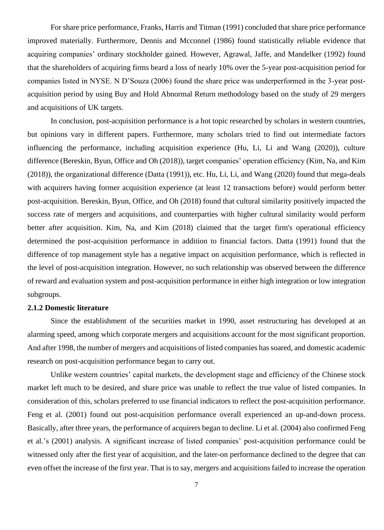For share price performance, Franks, Harris and Titman (1991) concluded that share price performance improved materially. Furthermore, Dennis and Mcconnel (1986) found statistically reliable evidence that acquiring companies' ordinary stockholder gained. However, Agrawal, Jaffe, and Mandelker (1992) found that the shareholders of acquiring firms beard a loss of nearly 10% over the 5-year post-acquisition period for companies listed in NYSE. N D'Souza (2006) found the share price was underperformed in the 3-year postacquisition period by using Buy and Hold Abnormal Return methodology based on the study of 29 mergers and acquisitions of UK targets.

In conclusion, post-acquisition performance is a hot topic researched by scholars in western countries, but opinions vary in different papers. Furthermore, many scholars tried to find out intermediate factors influencing the performance, including acquisition experience (Hu, Li, Li and Wang (2020)), culture difference (Bereskin, Byun, Office and Oh (2018)), target companies' operation efficiency (Kim, Na, and Kim (2018)), the organizational difference (Datta (1991)), etc. Hu, Li, Li, and Wang (2020) found that mega-deals with acquirers having former acquisition experience (at least 12 transactions before) would perform better post-acquisition. Bereskin, Byun, Office, and Oh (2018) found that cultural similarity positively impacted the success rate of mergers and acquisitions, and counterparties with higher cultural similarity would perform better after acquisition. Kim, Na, and Kim (2018) claimed that the target firm's operational efficiency determined the post-acquisition performance in addition to financial factors. Datta (1991) found that the difference of top management style has a negative impact on acquisition performance, which is reflected in the level of post-acquisition integration. However, no such relationship was observed between the difference of reward and evaluation system and post-acquisition performance in either high integration or low integration subgroups.

#### <span id="page-7-0"></span>**2.1.2 Domestic literature**

Since the establishment of the securities market in 1990, asset restructuring has developed at an alarming speed, among which corporate mergers and acquisitions account for the most significant proportion. And after 1998, the number of mergers and acquisitions of listed companies has soared, and domestic academic research on post-acquisition performance began to carry out.

Unlike western countries' capital markets, the development stage and efficiency of the Chinese stock market left much to be desired, and share price was unable to reflect the true value of listed companies. In consideration of this, scholars preferred to use financial indicators to reflect the post-acquisition performance. Feng et al. (2001) found out post-acquisition performance overall experienced an up-and-down process. Basically, after three years, the performance of acquirers began to decline. Li et al. (2004) also confirmed Feng et al.'s (2001) analysis. A significant increase of listed companies' post-acquisition performance could be witnessed only after the first year of acquisition, and the later-on performance declined to the degree that can even offset the increase of the first year. That is to say, mergers and acquisitions failed to increase the operation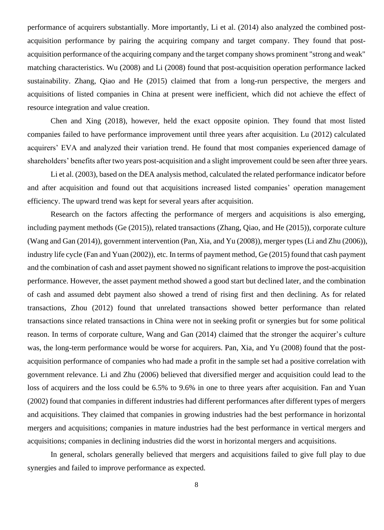performance of acquirers substantially. More importantly, Li et al. (2014) also analyzed the combined postacquisition performance by pairing the acquiring company and target company. They found that postacquisition performance of the acquiring company and the target company shows prominent "strong and weak" matching characteristics. Wu (2008) and Li (2008) found that post-acquisition operation performance lacked sustainability. Zhang, Qiao and He (2015) claimed that from a long-run perspective, the mergers and acquisitions of listed companies in China at present were inefficient, which did not achieve the effect of resource integration and value creation.

Chen and Xing (2018), however, held the exact opposite opinion. They found that most listed companies failed to have performance improvement until three years after acquisition. Lu (2012) calculated acquirers' EVA and analyzed their variation trend. He found that most companies experienced damage of shareholders' benefits after two years post-acquisition and a slight improvement could be seen after three years.

Li et al. (2003), based on the DEA analysis method, calculated the related performance indicator before and after acquisition and found out that acquisitions increased listed companies' operation management efficiency. The upward trend was kept for several years after acquisition.

Research on the factors affecting the performance of mergers and acquisitions is also emerging, including payment methods (Ge (2015)), related transactions (Zhang, Qiao, and He (2015)), corporate culture (Wang and Gan (2014)), government intervention (Pan, Xia, and Yu (2008)), merger types (Li and Zhu (2006)), industry life cycle (Fan and Yuan (2002)), etc. In terms of payment method, Ge (2015) found that cash payment and the combination of cash and asset payment showed no significant relations to improve the post-acquisition performance. However, the asset payment method showed a good start but declined later, and the combination of cash and assumed debt payment also showed a trend of rising first and then declining. As for related transactions, Zhou (2012) found that unrelated transactions showed better performance than related transactions since related transactions in China were not in seeking profit or synergies but for some political reason. In terms of corporate culture, Wang and Gan (2014) claimed that the stronger the acquirer's culture was, the long-term performance would be worse for acquirers. Pan, Xia, and Yu (2008) found that the postacquisition performance of companies who had made a profit in the sample set had a positive correlation with government relevance. Li and Zhu (2006) believed that diversified merger and acquisition could lead to the loss of acquirers and the loss could be 6.5% to 9.6% in one to three years after acquisition. Fan and Yuan (2002) found that companies in different industries had different performances after different types of mergers and acquisitions. They claimed that companies in growing industries had the best performance in horizontal mergers and acquisitions; companies in mature industries had the best performance in vertical mergers and acquisitions; companies in declining industries did the worst in horizontal mergers and acquisitions.

In general, scholars generally believed that mergers and acquisitions failed to give full play to due synergies and failed to improve performance as expected.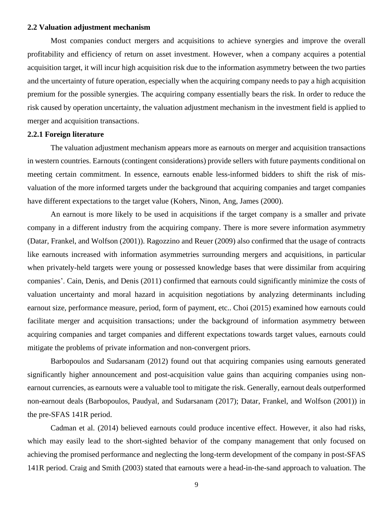#### <span id="page-9-0"></span>**2.2 Valuation adjustment mechanism**

Most companies conduct mergers and acquisitions to achieve synergies and improve the overall profitability and efficiency of return on asset investment. However, when a company acquires a potential acquisition target, it will incur high acquisition risk due to the information asymmetry between the two parties and the uncertainty of future operation, especially when the acquiring company needs to pay a high acquisition premium for the possible synergies. The acquiring company essentially bears the risk. In order to reduce the risk caused by operation uncertainty, the valuation adjustment mechanism in the investment field is applied to merger and acquisition transactions.

#### <span id="page-9-1"></span>**2.2.1 Foreign literature**

The valuation adjustment mechanism appears more as earnouts on merger and acquisition transactions in western countries. Earnouts (contingent considerations) provide sellers with future payments conditional on meeting certain commitment. In essence, earnouts enable less-informed bidders to shift the risk of misvaluation of the more informed targets under the background that acquiring companies and target companies have different expectations to the target value (Kohers, Ninon, Ang, James (2000).

An earnout is more likely to be used in acquisitions if the target company is a smaller and private company in a different industry from the acquiring company. There is more severe information asymmetry (Datar, Frankel, and Wolfson (2001)). Ragozzino and Reuer (2009) also confirmed that the usage of contracts like earnouts increased with information asymmetries surrounding mergers and acquisitions, in particular when privately-held targets were young or possessed knowledge bases that were dissimilar from acquiring companies'. Cain, Denis, and Denis (2011) confirmed that earnouts could significantly minimize the costs of valuation uncertainty and moral hazard in acquisition negotiations by analyzing determinants including earnout size, performance measure, period, form of payment, etc.. Choi (2015) examined how earnouts could facilitate merger and acquisition transactions; under the background of information asymmetry between acquiring companies and target companies and different expectations towards target values, earnouts could mitigate the problems of private information and non-convergent priors.

Barbopoulos and Sudarsanam (2012) found out that acquiring companies using earnouts generated significantly higher announcement and post-acquisition value gains than acquiring companies using nonearnout currencies, as earnouts were a valuable tool to mitigate the risk. Generally, earnout deals outperformed non-earnout deals (Barbopoulos, Paudyal, and Sudarsanam (2017); Datar, Frankel, and Wolfson (2001)) in the pre-SFAS 141R period.

Cadman et al. (2014) believed earnouts could produce incentive effect. However, it also had risks, which may easily lead to the short-sighted behavior of the company management that only focused on achieving the promised performance and neglecting the long-term development of the company in post-SFAS 141R period. Craig and Smith (2003) stated that earnouts were a head-in-the-sand approach to valuation. The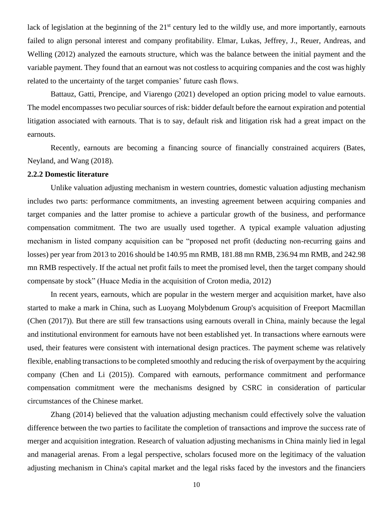lack of legislation at the beginning of the 21<sup>st</sup> century led to the wildly use, and more importantly, earnouts failed to align personal interest and company profitability. Elmar, Lukas, Jeffrey, J., Reuer, Andreas, and Welling (2012) analyzed the earnouts structure, which was the balance between the initial payment and the variable payment. They found that an earnout was not costless to acquiring companies and the cost was highly related to the uncertainty of the target companies' future cash flows.

Battauz, Gatti, Prencipe, and Viarengo (2021) developed an option pricing model to value earnouts. The model encompasses two peculiar sources of risk: bidder default before the earnout expiration and potential litigation associated with earnouts. That is to say, default risk and litigation risk had a great impact on the earnouts.

Recently, earnouts are becoming a financing source of financially constrained acquirers (Bates, Neyland, and Wang (2018).

#### <span id="page-10-0"></span>**2.2.2 Domestic literature**

Unlike valuation adjusting mechanism in western countries, domestic valuation adjusting mechanism includes two parts: performance commitments, an investing agreement between acquiring companies and target companies and the latter promise to achieve a particular growth of the business, and performance compensation commitment. The two are usually used together. A typical example valuation adjusting mechanism in listed company acquisition can be "proposed net profit (deducting non-recurring gains and losses) per year from 2013 to 2016 should be 140.95 mn RMB, 181.88 mn RMB, 236.94 mn RMB, and 242.98 mn RMB respectively. If the actual net profit fails to meet the promised level, then the target company should compensate by stock" (Huace Media in the acquisition of Croton media, 2012)

In recent years, earnouts, which are popular in the western merger and acquisition market, have also started to make a mark in China, such as Luoyang Molybdenum Group's acquisition of Freeport Macmillan (Chen (2017)). But there are still few transactions using earnouts overall in China, mainly because the legal and institutional environment for earnouts have not been established yet. In transactions where earnouts were used, their features were consistent with international design practices. The payment scheme was relatively flexible, enabling transactions to be completed smoothly and reducing the risk of overpayment by the acquiring company (Chen and Li (2015)). Compared with earnouts, performance commitment and performance compensation commitment were the mechanisms designed by CSRC in consideration of particular circumstances of the Chinese market.

Zhang (2014) believed that the valuation adjusting mechanism could effectively solve the valuation difference between the two parties to facilitate the completion of transactions and improve the success rate of merger and acquisition integration. Research of valuation adjusting mechanisms in China mainly lied in legal and managerial arenas. From a legal perspective, scholars focused more on the legitimacy of the valuation adjusting mechanism in China's capital market and the legal risks faced by the investors and the financiers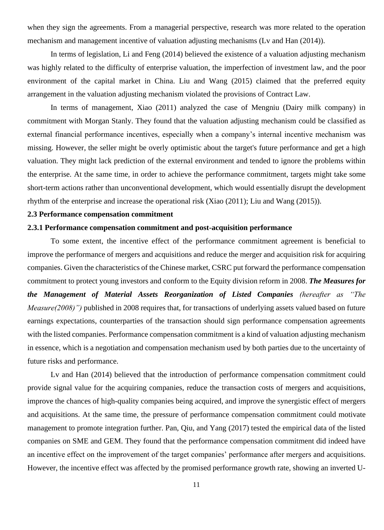when they sign the agreements. From a managerial perspective, research was more related to the operation mechanism and management incentive of valuation adjusting mechanisms (Lv and Han (2014)).

In terms of legislation, Li and Feng (2014) believed the existence of a valuation adjusting mechanism was highly related to the difficulty of enterprise valuation, the imperfection of investment law, and the poor environment of the capital market in China. Liu and Wang (2015) claimed that the preferred equity arrangement in the valuation adjusting mechanism violated the provisions of Contract Law.

In terms of management, Xiao (2011) analyzed the case of Mengniu (Dairy milk company) in commitment with Morgan Stanly. They found that the valuation adjusting mechanism could be classified as external financial performance incentives, especially when a company's internal incentive mechanism was missing. However, the seller might be overly optimistic about the target's future performance and get a high valuation. They might lack prediction of the external environment and tended to ignore the problems within the enterprise. At the same time, in order to achieve the performance commitment, targets might take some short-term actions rather than unconventional development, which would essentially disrupt the development rhythm of the enterprise and increase the operational risk (Xiao (2011); Liu and Wang (2015)).

#### <span id="page-11-0"></span>**2.3 Performance compensation commitment**

#### <span id="page-11-1"></span>**2.3.1 Performance compensation commitment and post-acquisition performance**

To some extent, the incentive effect of the performance commitment agreement is beneficial to improve the performance of mergers and acquisitions and reduce the merger and acquisition risk for acquiring companies. Given the characteristics of the Chinese market, CSRC put forward the performance compensation commitment to protect young investors and conform to the Equity division reform in 2008. *The Measures for the Management of Material Assets Reorganization of Listed Companies (hereafter as "The Measure(2008)")* published in 2008 requires that, for transactions of underlying assets valued based on future earnings expectations, counterparties of the transaction should sign performance compensation agreements with the listed companies. Performance compensation commitment is a kind of valuation adjusting mechanism in essence, which is a negotiation and compensation mechanism used by both parties due to the uncertainty of future risks and performance.

Lv and Han (2014) believed that the introduction of performance compensation commitment could provide signal value for the acquiring companies, reduce the transaction costs of mergers and acquisitions, improve the chances of high-quality companies being acquired, and improve the synergistic effect of mergers and acquisitions. At the same time, the pressure of performance compensation commitment could motivate management to promote integration further. Pan, Qiu, and Yang (2017) tested the empirical data of the listed companies on SME and GEM. They found that the performance compensation commitment did indeed have an incentive effect on the improvement of the target companies' performance after mergers and acquisitions. However, the incentive effect was affected by the promised performance growth rate, showing an inverted U-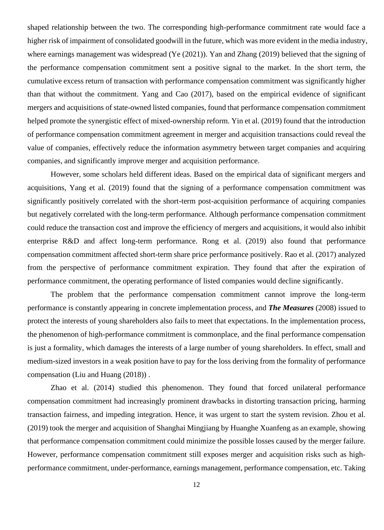shaped relationship between the two. The corresponding high-performance commitment rate would face a higher risk of impairment of consolidated goodwill in the future, which was more evident in the media industry, where earnings management was widespread (Ye (2021)). Yan and Zhang (2019) believed that the signing of the performance compensation commitment sent a positive signal to the market. In the short term, the cumulative excess return of transaction with performance compensation commitment was significantly higher than that without the commitment. Yang and Cao (2017), based on the empirical evidence of significant mergers and acquisitions of state-owned listed companies, found that performance compensation commitment helped promote the synergistic effect of mixed-ownership reform. Yin et al. (2019) found that the introduction of performance compensation commitment agreement in merger and acquisition transactions could reveal the value of companies, effectively reduce the information asymmetry between target companies and acquiring companies, and significantly improve merger and acquisition performance.

However, some scholars held different ideas. Based on the empirical data of significant mergers and acquisitions, Yang et al. (2019) found that the signing of a performance compensation commitment was significantly positively correlated with the short-term post-acquisition performance of acquiring companies but negatively correlated with the long-term performance. Although performance compensation commitment could reduce the transaction cost and improve the efficiency of mergers and acquisitions, it would also inhibit enterprise R&D and affect long-term performance. Rong et al. (2019) also found that performance compensation commitment affected short-term share price performance positively. Rao et al. (2017) analyzed from the perspective of performance commitment expiration. They found that after the expiration of performance commitment, the operating performance of listed companies would decline significantly.

The problem that the performance compensation commitment cannot improve the long-term performance is constantly appearing in concrete implementation process, and *The Measures* (2008) issued to protect the interests of young shareholders also fails to meet that expectations. In the implementation process, the phenomenon of high-performance commitment is commonplace, and the final performance compensation is just a formality, which damages the interests of a large number of young shareholders. In effect, small and medium-sized investors in a weak position have to pay for the loss deriving from the formality of performance compensation (Liu and Huang (2018)) .

Zhao et al. (2014) studied this phenomenon. They found that forced unilateral performance compensation commitment had increasingly prominent drawbacks in distorting transaction pricing, harming transaction fairness, and impeding integration. Hence, it was urgent to start the system revision. Zhou et al. (2019) took the merger and acquisition of Shanghai Mingjiang by Huanghe Xuanfeng as an example, showing that performance compensation commitment could minimize the possible losses caused by the merger failure. However, performance compensation commitment still exposes merger and acquisition risks such as highperformance commitment, under-performance, earnings management, performance compensation, etc. Taking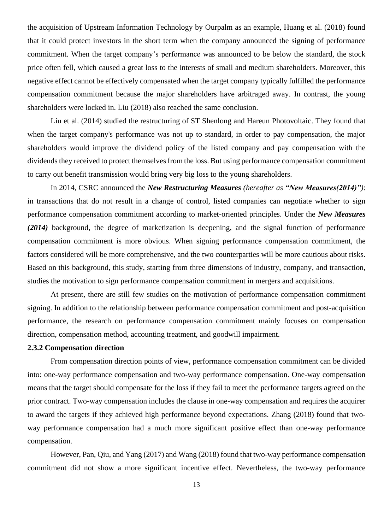the acquisition of Upstream Information Technology by Ourpalm as an example, Huang et al. (2018) found that it could protect investors in the short term when the company announced the signing of performance commitment. When the target company's performance was announced to be below the standard, the stock price often fell, which caused a great loss to the interests of small and medium shareholders. Moreover, this negative effect cannot be effectively compensated when the target company typically fulfilled the performance compensation commitment because the major shareholders have arbitraged away. In contrast, the young shareholders were locked in. Liu (2018) also reached the same conclusion.

Liu et al. (2014) studied the restructuring of ST Shenlong and Hareun Photovoltaic. They found that when the target company's performance was not up to standard, in order to pay compensation, the major shareholders would improve the dividend policy of the listed company and pay compensation with the dividends they received to protect themselves from the loss. But using performance compensation commitment to carry out benefit transmission would bring very big loss to the young shareholders.

In 2014, CSRC announced the *New Restructuring Measures (hereafter as "New Measures(2014)")*: in transactions that do not result in a change of control, listed companies can negotiate whether to sign performance compensation commitment according to market-oriented principles. Under the *New Measures (2014)* background, the degree of marketization is deepening, and the signal function of performance compensation commitment is more obvious. When signing performance compensation commitment, the factors considered will be more comprehensive, and the two counterparties will be more cautious about risks. Based on this background, this study, starting from three dimensions of industry, company, and transaction, studies the motivation to sign performance compensation commitment in mergers and acquisitions.

At present, there are still few studies on the motivation of performance compensation commitment signing. In addition to the relationship between performance compensation commitment and post-acquisition performance, the research on performance compensation commitment mainly focuses on compensation direction, compensation method, accounting treatment, and goodwill impairment.

#### <span id="page-13-0"></span>**2.3.2 Compensation direction**

From compensation direction points of view, performance compensation commitment can be divided into: one-way performance compensation and two-way performance compensation. One-way compensation means that the target should compensate for the loss if they fail to meet the performance targets agreed on the prior contract. Two-way compensation includes the clause in one-way compensation and requires the acquirer to award the targets if they achieved high performance beyond expectations. Zhang (2018) found that twoway performance compensation had a much more significant positive effect than one-way performance compensation.

However, Pan, Qiu, and Yang (2017) and Wang (2018) found that two-way performance compensation commitment did not show a more significant incentive effect. Nevertheless, the two-way performance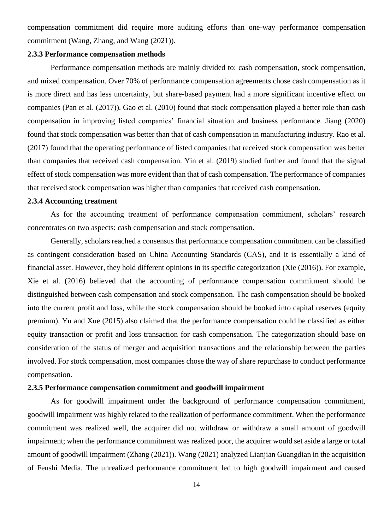compensation commitment did require more auditing efforts than one-way performance compensation commitment (Wang, Zhang, and Wang (2021)).

#### <span id="page-14-0"></span>**2.3.3 Performance compensation methods**

Performance compensation methods are mainly divided to: cash compensation, stock compensation, and mixed compensation. Over 70% of performance compensation agreements chose cash compensation as it is more direct and has less uncertainty, but share-based payment had a more significant incentive effect on companies (Pan et al. (2017)). Gao et al. (2010) found that stock compensation played a better role than cash compensation in improving listed companies' financial situation and business performance. Jiang (2020) found that stock compensation was better than that of cash compensation in manufacturing industry. Rao et al. (2017) found that the operating performance of listed companies that received stock compensation was better than companies that received cash compensation. Yin et al. (2019) studied further and found that the signal effect of stock compensation was more evident than that of cash compensation. The performance of companies that received stock compensation was higher than companies that received cash compensation.

#### <span id="page-14-1"></span>**2.3.4 Accounting treatment**

As for the accounting treatment of performance compensation commitment, scholars' research concentrates on two aspects: cash compensation and stock compensation.

Generally, scholars reached a consensus that performance compensation commitment can be classified as contingent consideration based on China Accounting Standards (CAS), and it is essentially a kind of financial asset. However, they hold different opinions in its specific categorization (Xie (2016)). For example, Xie et al. (2016) believed that the accounting of performance compensation commitment should be distinguished between cash compensation and stock compensation. The cash compensation should be booked into the current profit and loss, while the stock compensation should be booked into capital reserves (equity premium). Yu and Xue (2015) also claimed that the performance compensation could be classified as either equity transaction or profit and loss transaction for cash compensation. The categorization should base on consideration of the status of merger and acquisition transactions and the relationship between the parties involved. For stock compensation, most companies chose the way of share repurchase to conduct performance compensation.

#### <span id="page-14-2"></span>**2.3.5 Performance compensation commitment and goodwill impairment**

As for goodwill impairment under the background of performance compensation commitment, goodwill impairment was highly related to the realization of performance commitment. When the performance commitment was realized well, the acquirer did not withdraw or withdraw a small amount of goodwill impairment; when the performance commitment was realized poor, the acquirer would set aside a large or total amount of goodwill impairment (Zhang (2021)). Wang (2021) analyzed Lianjian Guangdian in the acquisition of Fenshi Media. The unrealized performance commitment led to high goodwill impairment and caused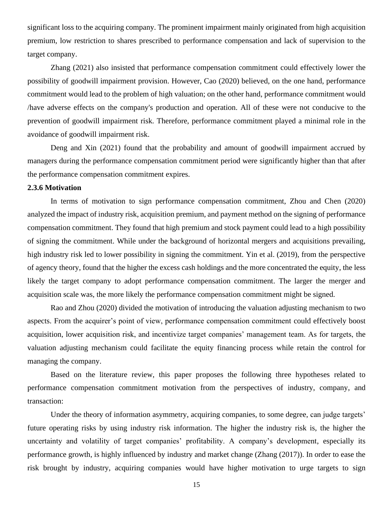significant loss to the acquiring company. The prominent impairment mainly originated from high acquisition premium, low restriction to shares prescribed to performance compensation and lack of supervision to the target company.

Zhang (2021) also insisted that performance compensation commitment could effectively lower the possibility of goodwill impairment provision. However, Cao (2020) believed, on the one hand, performance commitment would lead to the problem of high valuation; on the other hand, performance commitment would /have adverse effects on the company's production and operation. All of these were not conducive to the prevention of goodwill impairment risk. Therefore, performance commitment played a minimal role in the avoidance of goodwill impairment risk.

Deng and Xin (2021) found that the probability and amount of goodwill impairment accrued by managers during the performance compensation commitment period were significantly higher than that after the performance compensation commitment expires.

#### <span id="page-15-0"></span>**2.3.6 Motivation**

In terms of motivation to sign performance compensation commitment, Zhou and Chen (2020) analyzed the impact of industry risk, acquisition premium, and payment method on the signing of performance compensation commitment. They found that high premium and stock payment could lead to a high possibility of signing the commitment. While under the background of horizontal mergers and acquisitions prevailing, high industry risk led to lower possibility in signing the commitment. Yin et al. (2019), from the perspective of agency theory, found that the higher the excess cash holdings and the more concentrated the equity, the less likely the target company to adopt performance compensation commitment. The larger the merger and acquisition scale was, the more likely the performance compensation commitment might be signed.

Rao and Zhou (2020) divided the motivation of introducing the valuation adjusting mechanism to two aspects. From the acquirer's point of view, performance compensation commitment could effectively boost acquisition, lower acquisition risk, and incentivize target companies' management team. As for targets, the valuation adjusting mechanism could facilitate the equity financing process while retain the control for managing the company.

Based on the literature review, this paper proposes the following three hypotheses related to performance compensation commitment motivation from the perspectives of industry, company, and transaction:

Under the theory of information asymmetry, acquiring companies, to some degree, can judge targets' future operating risks by using industry risk information. The higher the industry risk is, the higher the uncertainty and volatility of target companies' profitability. A company's development, especially its performance growth, is highly influenced by industry and market change (Zhang (2017)). In order to ease the risk brought by industry, acquiring companies would have higher motivation to urge targets to sign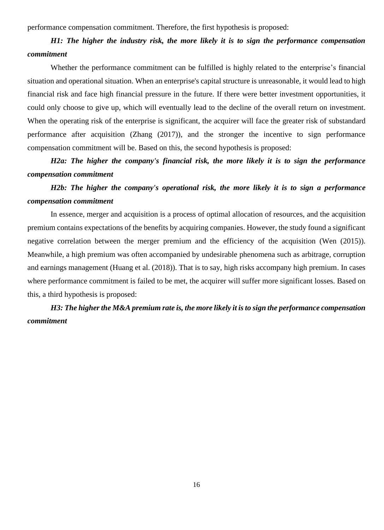performance compensation commitment. Therefore, the first hypothesis is proposed:

# *H1: The higher the industry risk, the more likely it is to sign the performance compensation commitment*

Whether the performance commitment can be fulfilled is highly related to the enterprise's financial situation and operational situation. When an enterprise's capital structure is unreasonable, it would lead to high financial risk and face high financial pressure in the future. If there were better investment opportunities, it could only choose to give up, which will eventually lead to the decline of the overall return on investment. When the operating risk of the enterprise is significant, the acquirer will face the greater risk of substandard performance after acquisition (Zhang (2017)), and the stronger the incentive to sign performance compensation commitment will be. Based on this, the second hypothesis is proposed:

*H2a: The higher the company's financial risk, the more likely it is to sign the performance compensation commitment*

*H2b: The higher the company's operational risk, the more likely it is to sign a performance compensation commitment*

In essence, merger and acquisition is a process of optimal allocation of resources, and the acquisition premium contains expectations of the benefits by acquiring companies. However, the study found a significant negative correlation between the merger premium and the efficiency of the acquisition (Wen (2015)). Meanwhile, a high premium was often accompanied by undesirable phenomena such as arbitrage, corruption and earnings management (Huang et al. (2018)). That is to say, high risks accompany high premium. In cases where performance commitment is failed to be met, the acquirer will suffer more significant losses. Based on this, a third hypothesis is proposed:

<span id="page-16-0"></span>*H3: The higher the M&A premium rate is, the more likely it is to sign the performance compensation commitment*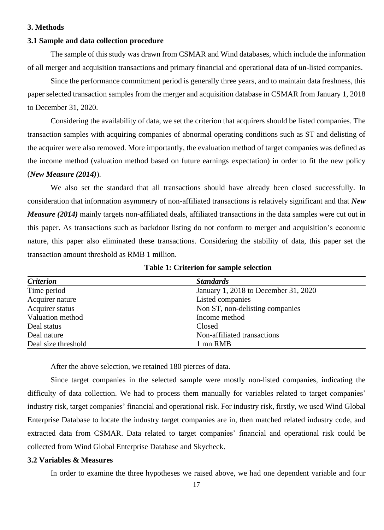#### **3. Methods**

#### <span id="page-17-0"></span>**3.1 Sample and data collection procedure**

The sample of this study was drawn from CSMAR and Wind databases, which include the information of all merger and acquisition transactions and primary financial and operational data of un-listed companies.

Since the performance commitment period is generally three years, and to maintain data freshness, this paper selected transaction samples from the merger and acquisition database in CSMAR from January 1, 2018 to December 31, 2020.

Considering the availability of data, we set the criterion that acquirers should be listed companies. The transaction samples with acquiring companies of abnormal operating conditions such as ST and delisting of the acquirer were also removed. More importantly, the evaluation method of target companies was defined as the income method (valuation method based on future earnings expectation) in order to fit the new policy (*New Measure (2014)*).

We also set the standard that all transactions should have already been closed successfully. In consideration that information asymmetry of non-affiliated transactions is relatively significant and that *New Measure (2014)* mainly targets non-affiliated deals, affiliated transactions in the data samples were cut out in this paper. As transactions such as backdoor listing do not conform to merger and acquisition's economic nature, this paper also eliminated these transactions. Considering the stability of data, this paper set the transaction amount threshold as RMB 1 million.

| <b>Criterion</b>    | <b>Standards</b>                     |
|---------------------|--------------------------------------|
| Time period         | January 1, 2018 to December 31, 2020 |
| Acquirer nature     | Listed companies                     |
| Acquirer status     | Non ST, non-delisting companies      |
| Valuation method    | Income method                        |
| Deal status         | Closed                               |
| Deal nature         | Non-affiliated transactions          |
| Deal size threshold | 1 mn RMB                             |

**Table 1: Criterion for sample selection**

After the above selection, we retained 180 pierces of data.

Since target companies in the selected sample were mostly non-listed companies, indicating the difficulty of data collection. We had to process them manually for variables related to target companies' industry risk, target companies' financial and operational risk. For industry risk, firstly, we used Wind Global Enterprise Database to locate the industry target companies are in, then matched related industry code, and extracted data from CSMAR. Data related to target companies' financial and operational risk could be collected from Wind Global Enterprise Database and Skycheck.

#### <span id="page-17-1"></span>**3.2 Variables & Measures**

In order to examine the three hypotheses we raised above, we had one dependent variable and four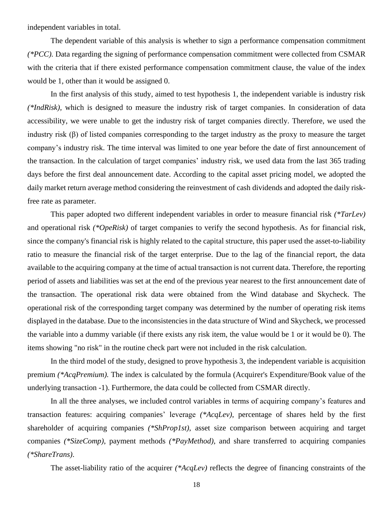independent variables in total.

The dependent variable of this analysis is whether to sign a performance compensation commitment *(\*PCC).* Data regarding the signing of performance compensation commitment were collected from CSMAR with the criteria that if there existed performance compensation commitment clause, the value of the index would be 1, other than it would be assigned 0.

In the first analysis of this study, aimed to test hypothesis 1, the independent variable is industry risk *(\*IndRisk),* which is designed to measure the industry risk of target companies. In consideration of data accessibility, we were unable to get the industry risk of target companies directly. Therefore, we used the industry risk (β) of listed companies corresponding to the target industry as the proxy to measure the target company's industry risk. The time interval was limited to one year before the date of first announcement of the transaction. In the calculation of target companies' industry risk, we used data from the last 365 trading days before the first deal announcement date. According to the capital asset pricing model, we adopted the daily market return average method considering the reinvestment of cash dividends and adopted the daily riskfree rate as parameter.

This paper adopted two different independent variables in order to measure financial risk *(\*TarLev)* and operational risk *(\*OpeRisk)* of target companies to verify the second hypothesis. As for financial risk, since the company's financial risk is highly related to the capital structure, this paper used the asset-to-liability ratio to measure the financial risk of the target enterprise. Due to the lag of the financial report, the data available to the acquiring company at the time of actual transaction is not current data. Therefore, the reporting period of assets and liabilities was set at the end of the previous year nearest to the first announcement date of the transaction. The operational risk data were obtained from the Wind database and Skycheck. The operational risk of the corresponding target company was determined by the number of operating risk items displayed in the database. Due to the inconsistencies in the data structure of Wind and Skycheck, we processed the variable into a dummy variable (if there exists any risk item, the value would be 1 or it would be 0). The items showing "no risk" in the routine check part were not included in the risk calculation.

In the third model of the study, designed to prove hypothesis 3, the independent variable is acquisition premium *(\*AcqPremium).* The index is calculated by the formula (Acquirer's Expenditure/Book value of the underlying transaction -1). Furthermore, the data could be collected from CSMAR directly.

In all the three analyses, we included control variables in terms of acquiring company's features and transaction features: acquiring companies' leverage *(\*AcqLev)*, percentage of shares held by the first shareholder of acquiring companies *(\*ShProp1st)*, asset size comparison between acquiring and target companies *(\*SizeComp)*, payment methods *(\*PayMethod)*, and share transferred to acquiring companies *(\*ShareTrans)*.

The asset-liability ratio of the acquirer *(\*AcqLev)* reflects the degree of financing constraints of the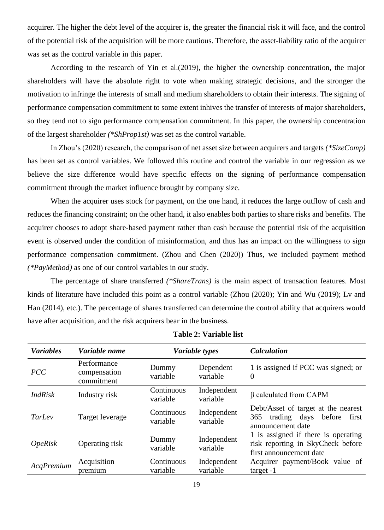acquirer. The higher the debt level of the acquirer is, the greater the financial risk it will face, and the control of the potential risk of the acquisition will be more cautious. Therefore, the asset-liability ratio of the acquirer was set as the control variable in this paper.

According to the research of Yin et al.(2019), the higher the ownership concentration, the major shareholders will have the absolute right to vote when making strategic decisions, and the stronger the motivation to infringe the interests of small and medium shareholders to obtain their interests. The signing of performance compensation commitment to some extent inhives the transfer of interests of major shareholders, so they tend not to sign performance compensation commitment. In this paper, the ownership concentration of the largest shareholder *(\*ShProp1st)* was set as the control variable.

In Zhou's (2020) research, the comparison of net asset size between acquirers and targets *(\*SizeComp)* has been set as control variables. We followed this routine and control the variable in our regression as we believe the size difference would have specific effects on the signing of performance compensation commitment through the market influence brought by company size.

When the acquirer uses stock for payment, on the one hand, it reduces the large outflow of cash and reduces the financing constraint; on the other hand, it also enables both parties to share risks and benefits. The acquirer chooses to adopt share-based payment rather than cash because the potential risk of the acquisition event is observed under the condition of misinformation, and thus has an impact on the willingness to sign performance compensation commitment. (Zhou and Chen (2020)) Thus, we included payment method *(\*PayMethod)* as one of our control variables in our study.

The percentage of share transferred *(\*ShareTrans)* is the main aspect of transaction features. Most kinds of literature have included this point as a control variable (Zhou (2020); Yin and Wu (2019); Lv and Han (2014), etc.). The percentage of shares transferred can determine the control ability that acquirers would have after acquisition, and the risk acquirers bear in the business.

| <b>Variables</b>      | Variable name                             | Variable types                             |                         | <b>Calculation</b>                                                                                  |  |
|-----------------------|-------------------------------------------|--------------------------------------------|-------------------------|-----------------------------------------------------------------------------------------------------|--|
| <b>PCC</b>            | Performance<br>compensation<br>commitment | Dependent<br>Dummy<br>variable<br>variable |                         | 1 is assigned if PCC was signed; or<br>$\overline{0}$                                               |  |
| <b>IndRisk</b>        | Industry risk                             | Continuous<br>variable                     | Independent<br>variable | $\beta$ calculated from CAPM                                                                        |  |
| TarLev                | Target leverage                           | Continuous<br>variable                     | Independent<br>variable | Debt/Asset of target at the nearest<br>365<br>trading days<br>before<br>first<br>announcement date  |  |
| <i><b>OpeRisk</b></i> | Operating risk                            | Dummy<br>variable                          | Independent<br>variable | 1 is assigned if there is operating<br>risk reporting in SkyCheck before<br>first announcement date |  |
| AcqPremium            | Acquisition<br>premium                    | Continuous<br>variable                     | Independent<br>variable | Acquirer payment/Book value of<br>$target -1$                                                       |  |

**Table 2: Variable list**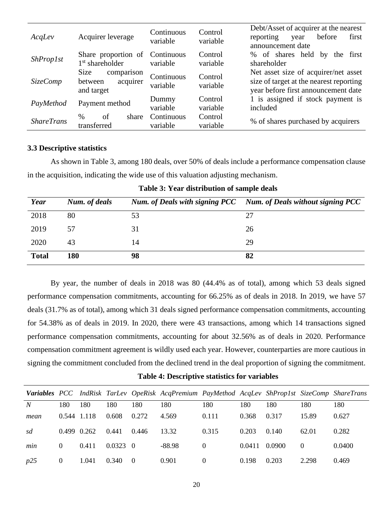| AcqLev            | Acquirer leverage                                       | Continuous<br>variable | Control<br>variable | Debt/Asset of acquirer at the nearest<br>before<br>reporting<br>first<br>year<br>announcement date                     |
|-------------------|---------------------------------------------------------|------------------------|---------------------|------------------------------------------------------------------------------------------------------------------------|
| <i>ShProp1st</i>  | Share proportion of<br>1 <sup>st</sup> shareholder      | Continuous<br>variable | Control<br>variable | % of shares held<br>the first<br>by<br>shareholder                                                                     |
| <i>SizeComp</i>   | Size<br>comparison<br>between<br>acquirer<br>and target | Continuous<br>variable | Control<br>variable | Net asset size of acquirer/net asset<br>size of target at the nearest reporting<br>year before first announcement date |
| PayMethod         | Payment method                                          | Dummy<br>variable      | Control<br>variable | 1 is assigned if stock payment is<br>included                                                                          |
| <b>ShareTrans</b> | of<br>%<br>share<br>transferred                         | Continuous<br>variable | Control<br>variable | % of shares purchased by acquirers                                                                                     |

#### <span id="page-20-0"></span>**3.3 Descriptive statistics**

As shown in Table 3, among 180 deals, over 50% of deals include a performance compensation clause in the acquisition, indicating the wide use of this valuation adjusting mechanism.

| Year         | Num. of deals |    | Num. of Deals with signing PCC Num. of Deals without signing PCC |
|--------------|---------------|----|------------------------------------------------------------------|
| 2018         | 80            | 53 | 27                                                               |
| 2019         | 57            | 31 | 26                                                               |
| 2020         | 43            | 14 | 29                                                               |
| <b>Total</b> | 180           | 98 | 82                                                               |

|  |  | Table 3: Year distribution of sample deals |  |  |  |
|--|--|--------------------------------------------|--|--|--|
|--|--|--------------------------------------------|--|--|--|

By year, the number of deals in 2018 was 80 (44.4% as of total), among which 53 deals signed performance compensation commitments, accounting for 66.25% as of deals in 2018. In 2019, we have 57 deals (31.7% as of total), among which 31 deals signed performance compensation commitments, accounting for 54.38% as of deals in 2019. In 2020, there were 43 transactions, among which 14 transactions signed performance compensation commitments, accounting for about 32.56% as of deals in 2020. Performance compensation commitment agreement is wildly used each year. However, counterparties are more cautious in signing the commitment concluded from the declined trend in the deal proportion of signing the commitment.

**Table 4: Descriptive statistics for variables**

|      |                 |       |                  |                  | Variables PCC IndRisk TarLev OpeRisk AcqPremium PayMethod AcqLev ShProp1st SizeComp ShareTrans |          |        |        |          |        |
|------|-----------------|-------|------------------|------------------|------------------------------------------------------------------------------------------------|----------|--------|--------|----------|--------|
| N    | 180             | 180   | 180              | 180              | 180                                                                                            | 180      | 180    | 180    | 180      | 180    |
| mean | 0.544 1.118     |       | 0.608            | 0.272            | 4.569                                                                                          | 0.111    | 0.368  | 0.317  | 15.89    | 0.627  |
| sd   | $0.499$ $0.262$ |       | 0.441            | 0.446            | 13.32                                                                                          | 0.315    | 0.203  | 0.140  | 62.01    | 0.282  |
| min  | $\Omega$        | 0.411 | $0.0323 \quad 0$ |                  | -88.98                                                                                         | $\Omega$ | 0.0411 | 0.0900 | $\Omega$ | 0.0400 |
| p25  | $\theta$        | 1.041 | 0.340            | $\left( \right)$ | 0.901                                                                                          | $\Omega$ | 0.198  | 0.203  | 2.298    | 0.469  |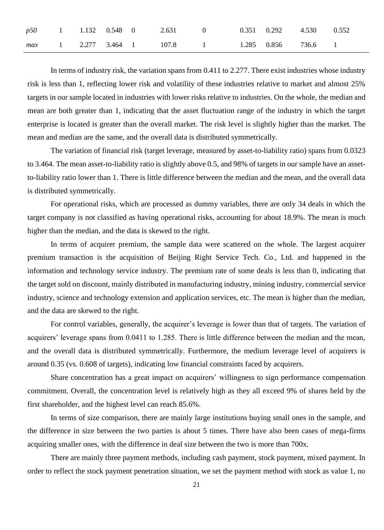|  |  | p50 1 1.132 0.548 0 2.631 0 0.351 0.292 4.530 0.552 |  |  |  |
|--|--|-----------------------------------------------------|--|--|--|
|  |  | max 1 2.277 3.464 1 107.8 1 1.285 0.856 736.6 1     |  |  |  |

In terms of industry risk, the variation spans from 0.411 to 2.277. There exist industries whose industry risk is less than 1, reflecting lower risk and volatility of these industries relative to market and almost 25% targets in our sample located in industries with lower risks relative to industries. On the whole, the median and mean are both greater than 1, indicating that the asset fluctuation range of the industry in which the target enterprise is located is greater than the overall market. The risk level is slightly higher than the market. The mean and median are the same, and the overall data is distributed symmetrically.

The variation of financial risk (target leverage, measured by asset-to-liability ratio) spans from 0.0323 to 3.464. The mean asset-to-liability ratio is slightly above 0.5, and 98% of targets in our sample have an assetto-liability ratio lower than 1. There is little difference between the median and the mean, and the overall data is distributed symmetrically.

For operational risks, which are processed as dummy variables, there are only 34 deals in which the target company is not classified as having operational risks, accounting for about 18.9%. The mean is much higher than the median, and the data is skewed to the right.

In terms of acquirer premium, the sample data were scattered on the whole. The largest acquirer premium transaction is the acquisition of Beijing Right Service Tech. Co., Ltd. and happened in the information and technology service industry. The premium rate of some deals is less than 0, indicating that the target sold on discount, mainly distributed in manufacturing industry, mining industry, commercial service industry, science and technology extension and application services, etc. The mean is higher than the median, and the data are skewed to the right.

For control variables, generally, the acquirer's leverage is lower than that of targets. The variation of acquirers' leverage spans from 0.0411 to 1.285. There is little difference between the median and the mean, and the overall data is distributed symmetrically. Furthermore, the medium leverage level of acquirers is around 0.35 (vs. 0.608 of targets), indicating low financial constraints faced by acquirers.

Share concentration has a great impact on acquirers' willingness to sign performance compensation commitment. Overall, the concentration level is relatively high as they all exceed 9% of shares held by the first shareholder, and the highest level can reach 85.6%.

In terms of size comparison, there are mainly large institutions buying small ones in the sample, and the difference in size between the two parties is about 5 times. There have also been cases of mega-firms acquiring smaller ones, with the difference in deal size between the two is more than 700x.

There are mainly three payment methods, including cash payment, stock payment, mixed payment. In order to reflect the stock payment penetration situation, we set the payment method with stock as value 1, no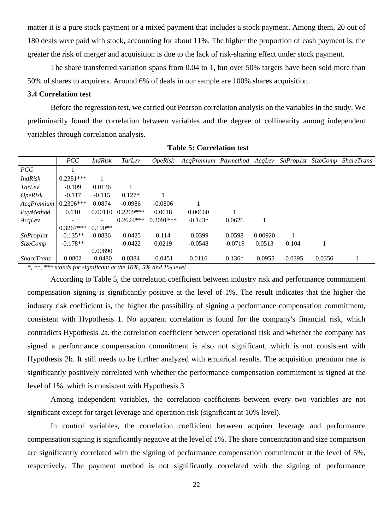matter it is a pure stock payment or a mixed payment that includes a stock payment. Among them, 20 out of 180 deals were paid with stock, accounting for about 11%. The higher the proportion of cash payment is, the greater the risk of merger and acquisition is due to the lack of risk-sharing effect under stock payment.

The share transferred variation spans from 0.04 to 1, but over 50% targets have been sold more than 50% of shares to acquirers. Around 6% of deals in our sample are 100% shares acquisition.

#### <span id="page-22-0"></span>**3.4 Correlation test**

Before the regression test, we carried out Pearson correlation analysis on the variables in the study. We preliminarily found the correlation between variables and the degree of collinearity among independent variables through correlation analysis.

|                       | PCC         | <b>IndRisk</b> | TarLev      | <i>OpeRisk</i> | AcgPremium Paymethod AcgLey |           |           |           |        | ShProp1st SizeComp ShareTrans |
|-----------------------|-------------|----------------|-------------|----------------|-----------------------------|-----------|-----------|-----------|--------|-------------------------------|
| PCC                   |             |                |             |                |                             |           |           |           |        |                               |
| <b>IndRisk</b>        | $0.2381***$ |                |             |                |                             |           |           |           |        |                               |
| TarLev                | $-0.109$    | 0.0136         |             |                |                             |           |           |           |        |                               |
| <i><b>OpeRisk</b></i> | $-0.117$    | $-0.115$       | $0.127*$    |                |                             |           |           |           |        |                               |
| $Acq$ Premium         | $0.2306***$ | 0.0874         | $-0.0986$   | $-0.0806$      |                             |           |           |           |        |                               |
| PayMethod             | 0.110       | 0.00110        | $0.2209***$ | 0.0618         | 0.00660                     |           |           |           |        |                               |
| AcqLev                |             | ۰              | $0.2624***$ | $0.2091***$    | $-0.143*$                   | 0.0626    |           |           |        |                               |
|                       | $0.3267***$ | $0.190**$      |             |                |                             |           |           |           |        |                               |
| <i>ShProp1st</i>      | $-0.135**$  | 0.0836         | $-0.0425$   | 0.114          | $-0.0399$                   | 0.0598    | 0.00920   |           |        |                               |
| <i>SizeComp</i>       | $-0.178**$  | ۰              | $-0.0422$   | 0.0219         | $-0.0548$                   | $-0.0719$ | 0.0513    | 0.104     |        |                               |
|                       |             | 0.00890        |             |                |                             |           |           |           |        |                               |
| <i>ShareTrans</i>     | 0.0802      | $-0.0480$      | 0.0384      | $-0.0451$      | 0.0116                      | $0.136*$  | $-0.0955$ | $-0.0395$ | 0.0356 |                               |

**Table 5: Correlation test**

*\*, \*\*, \*\*\* stands for significant at the 10%, 5% and 1% level*

According to Table 5, the correlation coefficient between industry risk and performance commitment compensation signing is significantly positive at the level of 1%. The result indicates that the higher the industry risk coefficient is, the higher the possibility of signing a performance compensation commitment, consistent with Hypothesis 1. No apparent correlation is found for the company's financial risk, which contradicts Hypothesis 2a. the correlation coefficient between operational risk and whether the company has signed a performance compensation commitment is also not significant, which is not consistent with Hypothesis 2b. It still needs to be further analyzed with empirical results. The acquisition premium rate is significantly positively correlated with whether the performance compensation commitment is signed at the level of 1%, which is consistent with Hypothesis 3.

Among independent variables, the correlation coefficients between every two variables are not significant except for target leverage and operation risk (significant at 10% level).

In control variables, the correlation coefficient between acquirer leverage and performance compensation signing is significantly negative at the level of 1%. The share concentration and size comparison are significantly correlated with the signing of performance compensation commitment at the level of 5%, respectively. The payment method is not significantly correlated with the signing of performance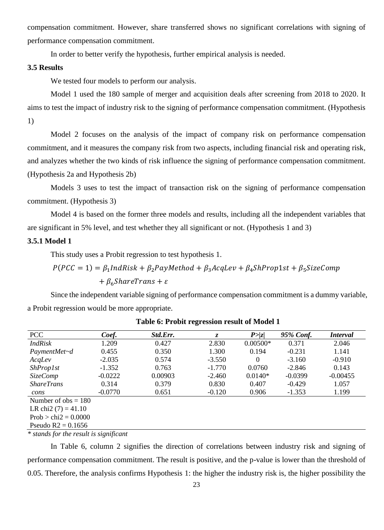compensation commitment. However, share transferred shows no significant correlations with signing of performance compensation commitment.

In order to better verify the hypothesis, further empirical analysis is needed.

#### <span id="page-23-0"></span>**3.5 Results**

We tested four models to perform our analysis.

Model 1 used the 180 sample of merger and acquisition deals after screening from 2018 to 2020. It aims to test the impact of industry risk to the signing of performance compensation commitment. (Hypothesis 1)

Model 2 focuses on the analysis of the impact of company risk on performance compensation commitment, and it measures the company risk from two aspects, including financial risk and operating risk, and analyzes whether the two kinds of risk influence the signing of performance compensation commitment. (Hypothesis 2a and Hypothesis 2b)

Models 3 uses to test the impact of transaction risk on the signing of performance compensation commitment. (Hypothesis 3)

Model 4 is based on the former three models and results, including all the independent variables that are significant in 5% level, and test whether they all significant or not. (Hypothesis 1 and 3)

#### **3.5.1 Model 1**

This study uses a Probit regression to test hypothesis 1.

$$
P(PCC = 1) = \beta_1 IndRisk + \beta_2 PayMethod + \beta_3 AcqLev + \beta_4 ShProp1st + \beta_5 SizeComp
$$
  
+  $\beta_6 SharerTrans + \varepsilon$ 

Since the independent variable signing of performance compensation commitment is a dummy variable, a Probit regression would be more appropriate.

| PCC                     | Coef.     | Std.Err. | $\overline{z}$ | P >  z     | 95% Conf. | <i>Interval</i> |  |  |  |
|-------------------------|-----------|----------|----------------|------------|-----------|-----------------|--|--|--|
| <b>IndRisk</b>          | 1.209     | 0.427    | 2.830          | $0.00500*$ | 0.371     | 2.046           |  |  |  |
| PaymentMet~d            | 0.455     | 0.350    | 1.300          | 0.194      | $-0.231$  | 1.141           |  |  |  |
| AcqLev                  | $-2.035$  | 0.574    | $-3.550$       | $\theta$   | $-3.160$  | $-0.910$        |  |  |  |
| <i>ShProp1st</i>        | $-1.352$  | 0.763    | $-1.770$       | 0.0760     | $-2.846$  | 0.143           |  |  |  |
| <i>SizeComp</i>         | $-0.0222$ | 0.00903  | $-2.460$       | $0.0140*$  | $-0.0399$ | $-0.00455$      |  |  |  |
| <b>ShareTrans</b>       | 0.314     | 0.379    | 0.830          | 0.407      | $-0.429$  | 1.057           |  |  |  |
| cons                    | $-0.0770$ | 0.651    | $-0.120$       | 0.906      | $-1.353$  | 1.199           |  |  |  |
| Number of $obs = 180$   |           |          |                |            |           |                 |  |  |  |
| LR chi2 $(7) = 41.10$   |           |          |                |            |           |                 |  |  |  |
| Prob > chi $2 = 0.0000$ |           |          |                |            |           |                 |  |  |  |
| Pseudo $R2 = 0.1656$    |           |          |                |            |           |                 |  |  |  |

|  |  |  |  | Table 6: Probit regression result of Model 1 |  |  |  |  |
|--|--|--|--|----------------------------------------------|--|--|--|--|
|--|--|--|--|----------------------------------------------|--|--|--|--|

*\* stands for the result is significant*

In Table 6, column 2 signifies the direction of correlations between industry risk and signing of performance compensation commitment. The result is positive, and the p-value is lower than the threshold of 0.05. Therefore, the analysis confirms Hypothesis 1: the higher the industry risk is, the higher possibility the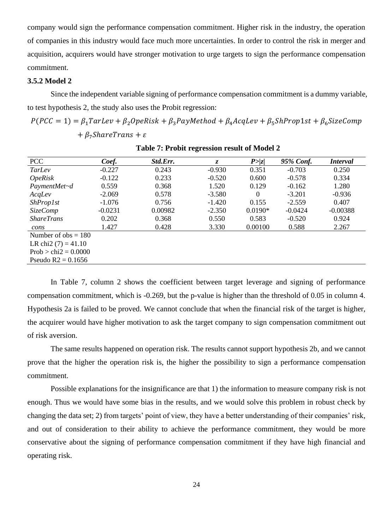company would sign the performance compensation commitment. Higher risk in the industry, the operation of companies in this industry would face much more uncertainties. In order to control the risk in merger and acquisition, acquirers would have stronger motivation to urge targets to sign the performance compensation commitment.

#### **3.5.2 Model 2**

Since the independent variable signing of performance compensation commitment is a dummy variable, to test hypothesis 2, the study also uses the Probit regression:

 $P(PCC = 1) = \beta_1 TarLev + \beta_2 OpeRisk + \beta_3 PayMethod + \beta_4 AcqLev + \beta_5 ShProp1st + \beta_6 SizeComp$  $+ \beta_7$ *ShareTrans* +  $\varepsilon$ 

| PCC                    | Coef.     | Std.Err. | Z.       | P >  z    | 95% Conf. | <i>Interval</i> |
|------------------------|-----------|----------|----------|-----------|-----------|-----------------|
| TarLev                 | $-0.227$  | 0.243    | $-0.930$ | 0.351     | $-0.703$  | 0.250           |
| <i>OpeRisk</i>         | $-0.122$  | 0.233    | $-0.520$ | 0.600     | $-0.578$  | 0.334           |
| PaymentMet~d           | 0.559     | 0.368    | 1.520    | 0.129     | $-0.162$  | 1.280           |
| AcqLev                 | $-2.069$  | 0.578    | $-3.580$ | $\theta$  | $-3.201$  | $-0.936$        |
| <b>ShProp1st</b>       | $-1.076$  | 0.756    | $-1.420$ | 0.155     | $-2.559$  | 0.407           |
| <i>SizeComp</i>        | $-0.0231$ | 0.00982  | $-2.350$ | $0.0190*$ | $-0.0424$ | $-0.00388$      |
| <b>ShareTrans</b>      | 0.202     | 0.368    | 0.550    | 0.583     | $-0.520$  | 0.924           |
| cons                   | 1.427     | 0.428    | 3.330    | 0.00100   | 0.588     | 2.267           |
| Number of $obs = 180$  |           |          |          |           |           |                 |
| LR chi2 $(7) = 41.10$  |           |          |          |           |           |                 |
| $Prob > chi2 = 0.0000$ |           |          |          |           |           |                 |
| Pseudo $R2 = 0.1656$   |           |          |          |           |           |                 |

**Table 7: Probit regression result of Model 2**

In Table 7, column 2 shows the coefficient between target leverage and signing of performance compensation commitment, which is -0.269, but the p-value is higher than the threshold of 0.05 in column 4. Hypothesis 2a is failed to be proved. We cannot conclude that when the financial risk of the target is higher, the acquirer would have higher motivation to ask the target company to sign compensation commitment out of risk aversion.

The same results happened on operation risk. The results cannot support hypothesis 2b, and we cannot prove that the higher the operation risk is, the higher the possibility to sign a performance compensation commitment.

Possible explanations for the insignificance are that 1) the information to measure company risk is not enough. Thus we would have some bias in the results, and we would solve this problem in robust check by changing the data set; 2) from targets' point of view, they have a better understanding of their companies' risk, and out of consideration to their ability to achieve the performance commitment, they would be more conservative about the signing of performance compensation commitment if they have high financial and operating risk.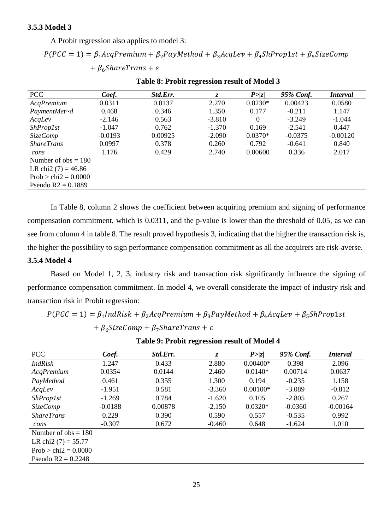A Probit regression also applies to model 3:

 $P(PCC = 1) = \beta_1 AcqPremium + \beta_2 PayMethod + \beta_3 AcqLev + \beta_4 ShProp1st + \beta_5 SizeComp$  $+ \beta_6$ ShareTrans +  $\varepsilon$ 

| <b>PCC</b>             | Coef.     | Std.Err. | Z.       | P >  z    | 95% Conf. | <i>Interval</i> |
|------------------------|-----------|----------|----------|-----------|-----------|-----------------|
| AcqPremium             | 0.0311    | 0.0137   | 2.270    | $0.0230*$ | 0.00423   | 0.0580          |
| PaymentMet~d           | 0.468     | 0.346    | 1.350    | 0.177     | $-0.211$  | 1.147           |
| AcqLev                 | $-2.146$  | 0.563    | $-3.810$ | 0         | $-3.249$  | $-1.044$        |
| <i>ShProp1st</i>       | $-1.047$  | 0.762    | $-1.370$ | 0.169     | $-2.541$  | 0.447           |
| <i>SizeComp</i>        | $-0.0193$ | 0.00925  | $-2.090$ | $0.0370*$ | $-0.0375$ | $-0.00120$      |
| <i>ShareTrans</i>      | 0.0997    | 0.378    | 0.260    | 0.792     | $-0.641$  | 0.840           |
| cons                   | 1.176     | 0.429    | 2.740    | 0.00600   | 0.336     | 2.017           |
| Number of $obs = 180$  |           |          |          |           |           |                 |
| LR chi2 $(7) = 46.86$  |           |          |          |           |           |                 |
| $Prob > chi2 = 0.0000$ |           |          |          |           |           |                 |
| Pseudo $R2 = 0.1889$   |           |          |          |           |           |                 |

**Table 8: Probit regression result of Model 3**

In Table 8, column 2 shows the coefficient between acquiring premium and signing of performance compensation commitment, which is 0.0311, and the p-value is lower than the threshold of 0.05, as we can see from column 4 in table 8. The result proved hypothesis 3, indicating that the higher the transaction risk is, the higher the possibility to sign performance compensation commitment as all the acquirers are risk-averse.

#### **3.5.4 Model 4**

Based on Model 1, 2, 3, industry risk and transaction risk significantly influence the signing of performance compensation commitment. In model 4, we overall considerate the impact of industry risk and transaction risk in Probit regression:

 $P(PCC = 1) = \beta_1 IndRisk + \beta_2 AcqPremium + \beta_3 PayMethod + \beta_4 AcqLev + \beta_5 ShProp1st$ +  $\beta_6$ SizeComp +  $\beta_7$ ShareTrans +  $\varepsilon$ 

| <b>PCC</b>             | Coef.     | Std.Err. | Z.       | P >  z     | 95% Conf. | <i>Interval</i> |
|------------------------|-----------|----------|----------|------------|-----------|-----------------|
| <b>IndRisk</b>         | 1.247     | 0.433    | 2.880    | $0.00400*$ | 0.398     | 2.096           |
| AcqPremium             | 0.0354    | 0.0144   | 2.460    | $0.0140*$  | 0.00714   | 0.0637          |
| PayMethod              | 0.461     | 0.355    | 1.300    | 0.194      | $-0.235$  | 1.158           |
| AcqLev                 | $-1.951$  | 0.581    | $-3.360$ | $0.00100*$ | $-3.089$  | $-0.812$        |
| <i>ShProp1st</i>       | $-1.269$  | 0.784    | $-1.620$ | 0.105      | $-2.805$  | 0.267           |
| <b>SizeComp</b>        | $-0.0188$ | 0.00878  | $-2.150$ | $0.0320*$  | $-0.0360$ | $-0.00164$      |
| <b>ShareTrans</b>      | 0.229     | 0.390    | 0.590    | 0.557      | $-0.535$  | 0.992           |
| cons                   | $-0.307$  | 0.672    | $-0.460$ | 0.648      | $-1.624$  | 1.010           |
| Number of $obs = 180$  |           |          |          |            |           |                 |
| LR chi2 $(7) = 55.77$  |           |          |          |            |           |                 |
| Prob $>$ chi2 = 0.0000 |           |          |          |            |           |                 |
| Pseudo $R2 = 0.2248$   |           |          |          |            |           |                 |
|                        |           |          |          |            |           |                 |

**Table 9: Probit regression result of Model 4**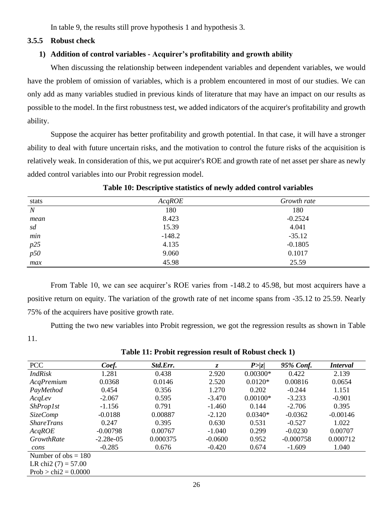In table 9, the results still prove hypothesis 1 and hypothesis 3.

#### **3.5.5 Robust check**

#### **1) Addition of control variables - Acquirer's profitability and growth ability**

When discussing the relationship between independent variables and dependent variables, we would have the problem of omission of variables, which is a problem encountered in most of our studies. We can only add as many variables studied in previous kinds of literature that may have an impact on our results as possible to the model. In the first robustness test, we added indicators of the acquirer's profitability and growth ability.

Suppose the acquirer has better profitability and growth potential. In that case, it will have a stronger ability to deal with future uncertain risks, and the motivation to control the future risks of the acquisition is relatively weak. In consideration of this, we put acquirer's ROE and growth rate of net asset per share as newly added control variables into our Probit regression model.

| stats            | AcqROE   | Growth rate |  |  |
|------------------|----------|-------------|--|--|
| $\boldsymbol{N}$ | 180      | 180         |  |  |
| mean             | 8.423    | $-0.2524$   |  |  |
| sd               | 15.39    | 4.041       |  |  |
| $min$            | $-148.2$ | $-35.12$    |  |  |
|                  | 4.135    | $-0.1805$   |  |  |
| $p25 \ p50$      | 9.060    | 0.1017      |  |  |
| max              | 45.98    | 25.59       |  |  |

#### **Table 10: Descriptive statistics of newly added control variables**

From Table 10, we can see acquirer's ROE varies from -148.2 to 45.98, but most acquirers have a positive return on equity. The variation of the growth rate of net income spans from -35.12 to 25.59. Nearly 75% of the acquirers have positive growth rate.

Putting the two new variables into Probit regression, we got the regression results as shown in Table 11.

| <b>PCC</b>             | Coef.       | Std.Err. | $\mathcal{Z}$ | P >  z     | 95% Conf.   | <i>Interval</i> |
|------------------------|-------------|----------|---------------|------------|-------------|-----------------|
| <b>IndRisk</b>         | 1.281       | 0.438    | 2.920         | $0.00300*$ | 0.422       | 2.139           |
| AcqPremium             | 0.0368      | 0.0146   | 2.520         | $0.0120*$  | 0.00816     | 0.0654          |
| PayMethod              | 0.454       | 0.356    | 1.270         | 0.202      | $-0.244$    | 1.151           |
| AcqLev                 | $-2.067$    | 0.595    | $-3.470$      | $0.00100*$ | $-3.233$    | $-0.901$        |
| <b>ShProp1st</b>       | $-1.156$    | 0.791    | $-1.460$      | 0.144      | $-2.706$    | 0.395           |
| <b>SizeComp</b>        | $-0.0188$   | 0.00887  | $-2.120$      | $0.0340*$  | $-0.0362$   | $-0.00146$      |
| <i>ShareTrans</i>      | 0.247       | 0.395    | 0.630         | 0.531      | $-0.527$    | 1.022           |
| AcqROE                 | $-0.00798$  | 0.00767  | $-1.040$      | 0.299      | $-0.0230$   | 0.00707         |
| <b>GrowthRate</b>      | $-2.28e-05$ | 0.000375 | $-0.0600$     | 0.952      | $-0.000758$ | 0.000712        |
| cons                   | $-0.285$    | 0.676    | $-0.420$      | 0.674      | $-1.609$    | 1.040           |
| Number of $obs = 180$  |             |          |               |            |             |                 |
| LR chi2 $(7) = 57.00$  |             |          |               |            |             |                 |
| $Prob > chi2 = 0.0000$ |             |          |               |            |             |                 |

**Table 11: Probit regression result of Robust check 1)**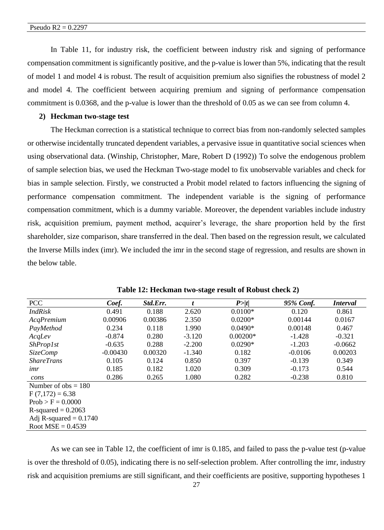In Table 11, for industry risk, the coefficient between industry risk and signing of performance compensation commitment is significantly positive, and the p-value is lower than 5%, indicating that the result of model 1 and model 4 is robust. The result of acquisition premium also signifies the robustness of model 2 and model 4. The coefficient between acquiring premium and signing of performance compensation commitment is 0.0368, and the p-value is lower than the threshold of 0.05 as we can see from column 4.

#### **2) Heckman two-stage test**

The Heckman correction is a statistical technique to correct bias from non-randomly selected samples or otherwise incidentally truncated dependent variables, a pervasive issue in quantitative social sciences when using observational data. (Winship, Christopher, Mare, Robert D (1992)) To solve the endogenous problem of sample selection bias, we used the Heckman Two-stage model to fix unobservable variables and check for bias in sample selection. Firstly, we constructed a Probit model related to factors influencing the signing of performance compensation commitment. The independent variable is the signing of performance compensation commitment, which is a dummy variable. Moreover, the dependent variables include industry risk, acquisition premium, payment method, acquirer's leverage, the share proportion held by the first shareholder, size comparison, share transferred in the deal. Then based on the regression result, we calculated the Inverse Mills index (imr). We included the imr in the second stage of regression, and results are shown in the below table.

| <b>PCC</b>               | Coef.      | Std.Err. |          | P >  t     | 95% Conf. | <i>Interval</i> |
|--------------------------|------------|----------|----------|------------|-----------|-----------------|
| <i>IndRisk</i>           | 0.491      | 0.188    | 2.620    | $0.0100*$  | 0.120     | 0.861           |
| AcqPremium               | 0.00906    | 0.00386  | 2.350    | $0.0200*$  | 0.00144   | 0.0167          |
| PayMethod                | 0.234      | 0.118    | 1.990    | $0.0490*$  | 0.00148   | 0.467           |
| AcqLev                   | $-0.874$   | 0.280    | $-3.120$ | $0.00200*$ | $-1.428$  | $-0.321$        |
| <i>ShProp1st</i>         | $-0.635$   | 0.288    | $-2.200$ | $0.0290*$  | $-1.203$  | $-0.0662$       |
| <i>SizeComp</i>          | $-0.00430$ | 0.00320  | $-1.340$ | 0.182      | $-0.0106$ | 0.00203         |
| <i>ShareTrans</i>        | 0.105      | 0.124    | 0.850    | 0.397      | $-0.139$  | 0.349           |
| <i>unr</i>               | 0.185      | 0.182    | 1.020    | 0.309      | $-0.173$  | 0.544           |
| cons                     | 0.286      | 0.265    | 1.080    | 0.282      | $-0.238$  | 0.810           |
| Number of $obs = 180$    |            |          |          |            |           |                 |
| $F(7,172) = 6.38$        |            |          |          |            |           |                 |
| $Prob > F = 0.0000$      |            |          |          |            |           |                 |
| $R$ -squared = 0.2063    |            |          |          |            |           |                 |
| Adj R-squared $= 0.1740$ |            |          |          |            |           |                 |
| Root $MSE = 0.4539$      |            |          |          |            |           |                 |

**Table 12: Heckman two-stage result of Robust check 2)**

As we can see in Table 12, the coefficient of imr is 0.185, and failed to pass the p-value test (p-value is over the threshold of 0.05), indicating there is no self-selection problem. After controlling the imr, industry risk and acquisition premiums are still significant, and their coefficients are positive, supporting hypotheses 1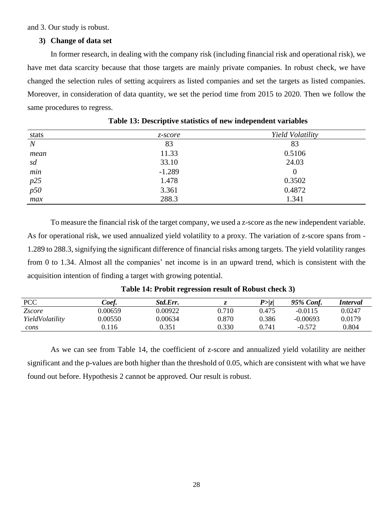and 3. Our study is robust.

#### **3) Change of data set**

In former research, in dealing with the company risk (including financial risk and operational risk), we have met data scarcity because that those targets are mainly private companies. In robust check, we have changed the selection rules of setting acquirers as listed companies and set the targets as listed companies. Moreover, in consideration of data quantity, we set the period time from 2015 to 2020. Then we follow the same procedures to regress.

| stats          | z-score  | Yield Volatility |
|----------------|----------|------------------|
| $\overline{N}$ | 83       | 83               |
| mean           | 11.33    | 0.5106           |
| sd             | 33.10    | 24.03            |
| min            | $-1.289$ |                  |
| $p25$<br>$p50$ | 1.478    | 0.3502           |
|                | 3.361    | 0.4872           |
| max            | 288.3    | 1.341            |

**Table 13: Descriptive statistics of new independent variables**

To measure the financial risk of the target company, we used a z-score as the new independent variable. As for operational risk, we used annualized yield volatility to a proxy. The variation of z-score spans from - 1.289 to 288.3, signifying the significant difference of financial risks among targets. The yield volatility ranges from 0 to 1.34. Almost all the companies' net income is in an upward trend, which is consistent with the acquisition intention of finding a target with growing potential.

| <b>PCC</b>      | Coef.   | Std.Err. |       | P >  z | 95% Conf.  | Interval |
|-----------------|---------|----------|-------|--------|------------|----------|
| <i>Zscore</i>   | ).00659 | 0.00922  | 0.710 | 0.475  | $-0.0115$  | 0.0247   |
| YieldVolatility | 0.00550 | 0.00634  | 0.870 | 0.386  | $-0.00693$ | 0.0179   |
| cons            | 0.116   | 0.351    | 0.330 | 0.741  | $-0.572$   | 0.804    |

#### **Table 14: Probit regression result of Robust check 3)**

<span id="page-28-0"></span>As we can see from Table 14, the coefficient of z-score and annualized yield volatility are neither significant and the p-values are both higher than the threshold of 0.05, which are consistent with what we have found out before. Hypothesis 2 cannot be approved. Our result is robust.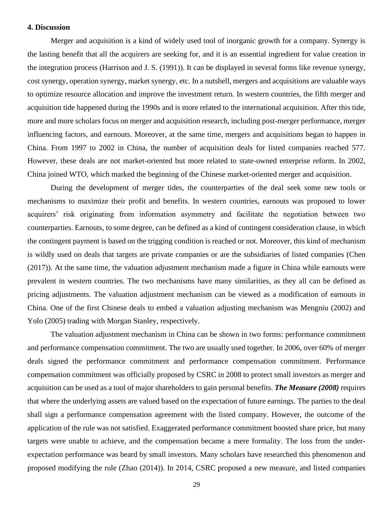#### **4. Discussion**

Merger and acquisition is a kind of widely used tool of inorganic growth for a company. Synergy is the lasting benefit that all the acquirers are seeking for, and it is an essential ingredient for value creation in the integration process (Harrison and J. S. (1991)). It can be displayed in several forms like revenue synergy, cost synergy, operation synergy, market synergy, etc. In a nutshell, mergers and acquisitions are valuable ways to optimize resource allocation and improve the investment return. In western countries, the fifth merger and acquisition tide happened during the 1990s and is more related to the international acquisition. After this tide, more and more scholars focus on merger and acquisition research, including post-merger performance, merger influencing factors, and earnouts. Moreover, at the same time, mergers and acquisitions began to happen in China. From 1997 to 2002 in China, the number of acquisition deals for listed companies reached 577. However, these deals are not market-oriented but more related to state-owned enterprise reform. In 2002, China joined WTO, which marked the beginning of the Chinese market-oriented merger and acquisition.

During the development of merger tides, the counterparties of the deal seek some new tools or mechanisms to maximize their profit and benefits. In western countries, earnouts was proposed to lower acquirers' risk originating from information asymmetry and facilitate the negotiation between two counterparties. Earnouts, to some degree, can be defined as a kind of contingent consideration clause, in which the contingent payment is based on the trigging condition is reached or not. Moreover, this kind of mechanism is wildly used on deals that targets are private companies or are the subsidiaries of listed companies (Chen (2017)). At the same time, the valuation adjustment mechanism made a figure in China while earnouts were prevalent in western countries. The two mechanisms have many similarities, as they all can be defined as pricing adjustments. The valuation adjustment mechanism can be viewed as a modification of earnouts in China. One of the first Chinese deals to embed a valuation adjusting mechanism was Mengniu (2002) and Yolo (2005) trading with Morgan Stanley, respectively.

The valuation adjustment mechanism in China can be shown in two forms: performance commitment and performance compensation commitment. The two are usually used together. In 2006, over 60% of merger deals signed the performance commitment and performance compensation commitment. Performance compensation commitment was officially proposed by CSRC in 2008 to protect small investors as merger and acquisition can be used as a tool of major shareholders to gain personal benefits. *The Measure (2008)* requires that where the underlying assets are valued based on the expectation of future earnings. The parties to the deal shall sign a performance compensation agreement with the listed company. However, the outcome of the application of the rule was not satisfied. Exaggerated performance commitment boosted share price, but many targets were unable to achieve, and the compensation became a mere formality. The loss from the underexpectation performance was beard by small investors. Many scholars have researched this phenomenon and proposed modifying the rule (Zhao (2014)). In 2014, CSRC proposed a new measure, and listed companies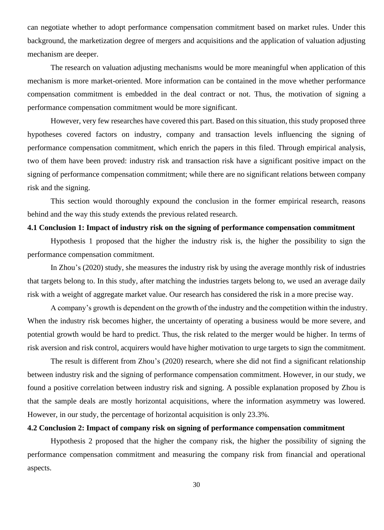can negotiate whether to adopt performance compensation commitment based on market rules. Under this background, the marketization degree of mergers and acquisitions and the application of valuation adjusting mechanism are deeper.

The research on valuation adjusting mechanisms would be more meaningful when application of this mechanism is more market-oriented. More information can be contained in the move whether performance compensation commitment is embedded in the deal contract or not. Thus, the motivation of signing a performance compensation commitment would be more significant.

However, very few researches have covered this part. Based on this situation, this study proposed three hypotheses covered factors on industry, company and transaction levels influencing the signing of performance compensation commitment, which enrich the papers in this filed. Through empirical analysis, two of them have been proved: industry risk and transaction risk have a significant positive impact on the signing of performance compensation commitment; while there are no significant relations between company risk and the signing.

This section would thoroughly expound the conclusion in the former empirical research, reasons behind and the way this study extends the previous related research.

#### <span id="page-30-0"></span>**4.1 Conclusion 1: Impact of industry risk on the signing of performance compensation commitment**

Hypothesis 1 proposed that the higher the industry risk is, the higher the possibility to sign the performance compensation commitment.

In Zhou's (2020) study, she measures the industry risk by using the average monthly risk of industries that targets belong to. In this study, after matching the industries targets belong to, we used an average daily risk with a weight of aggregate market value. Our research has considered the risk in a more precise way.

A company's growth is dependent on the growth of the industry and the competition within the industry. When the industry risk becomes higher, the uncertainty of operating a business would be more severe, and potential growth would be hard to predict. Thus, the risk related to the merger would be higher. In terms of risk aversion and risk control, acquirers would have higher motivation to urge targets to sign the commitment.

The result is different from Zhou's (2020) research, where she did not find a significant relationship between industry risk and the signing of performance compensation commitment. However, in our study, we found a positive correlation between industry risk and signing. A possible explanation proposed by Zhou is that the sample deals are mostly horizontal acquisitions, where the information asymmetry was lowered. However, in our study, the percentage of horizontal acquisition is only 23.3%.

#### <span id="page-30-1"></span>**4.2 Conclusion 2: Impact of company risk on signing of performance compensation commitment**

Hypothesis 2 proposed that the higher the company risk, the higher the possibility of signing the performance compensation commitment and measuring the company risk from financial and operational aspects.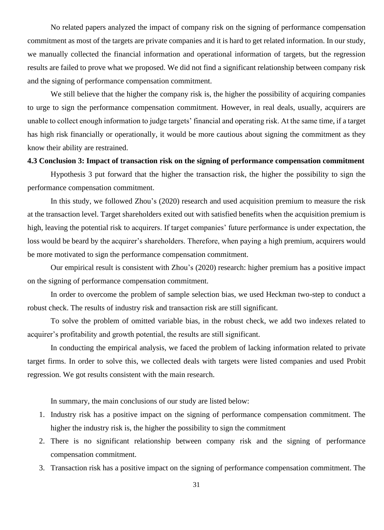No related papers analyzed the impact of company risk on the signing of performance compensation commitment as most of the targets are private companies and it is hard to get related information. In our study, we manually collected the financial information and operational information of targets, but the regression results are failed to prove what we proposed. We did not find a significant relationship between company risk and the signing of performance compensation commitment.

We still believe that the higher the company risk is, the higher the possibility of acquiring companies to urge to sign the performance compensation commitment. However, in real deals, usually, acquirers are unable to collect enough information to judge targets' financial and operating risk. At the same time, if a target has high risk financially or operationally, it would be more cautious about signing the commitment as they know their ability are restrained.

#### <span id="page-31-0"></span>**4.3 Conclusion 3: Impact of transaction risk on the signing of performance compensation commitment**

Hypothesis 3 put forward that the higher the transaction risk, the higher the possibility to sign the performance compensation commitment.

In this study, we followed Zhou's (2020) research and used acquisition premium to measure the risk at the transaction level. Target shareholders exited out with satisfied benefits when the acquisition premium is high, leaving the potential risk to acquirers. If target companies' future performance is under expectation, the loss would be beard by the acquirer's shareholders. Therefore, when paying a high premium, acquirers would be more motivated to sign the performance compensation commitment.

Our empirical result is consistent with Zhou's (2020) research: higher premium has a positive impact on the signing of performance compensation commitment.

In order to overcome the problem of sample selection bias, we used Heckman two-step to conduct a robust check. The results of industry risk and transaction risk are still significant.

To solve the problem of omitted variable bias, in the robust check, we add two indexes related to acquirer's profitability and growth potential, the results are still significant.

In conducting the empirical analysis, we faced the problem of lacking information related to private target firms. In order to solve this, we collected deals with targets were listed companies and used Probit regression. We got results consistent with the main research.

In summary, the main conclusions of our study are listed below:

- 1. Industry risk has a positive impact on the signing of performance compensation commitment. The higher the industry risk is, the higher the possibility to sign the commitment
- 2. There is no significant relationship between company risk and the signing of performance compensation commitment.
- 3. Transaction risk has a positive impact on the signing of performance compensation commitment. The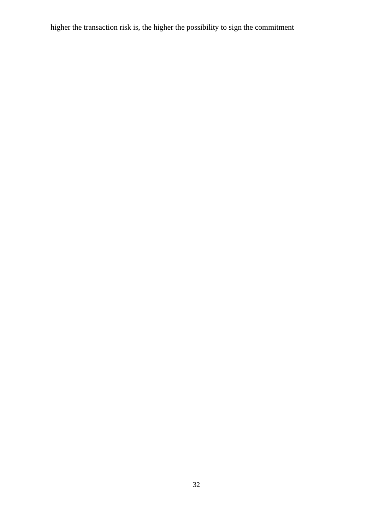<span id="page-32-0"></span>higher the transaction risk is, the higher the possibility to sign the commitment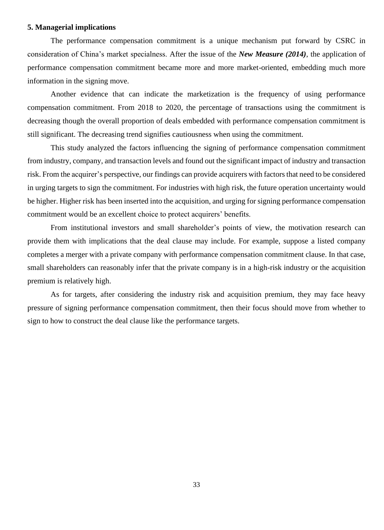#### **5. Managerial implications**

The performance compensation commitment is a unique mechanism put forward by CSRC in consideration of China's market specialness. After the issue of the *New Measure (2014)*, the application of performance compensation commitment became more and more market-oriented, embedding much more information in the signing move.

Another evidence that can indicate the marketization is the frequency of using performance compensation commitment. From 2018 to 2020, the percentage of transactions using the commitment is decreasing though the overall proportion of deals embedded with performance compensation commitment is still significant. The decreasing trend signifies cautiousness when using the commitment.

This study analyzed the factors influencing the signing of performance compensation commitment from industry, company, and transaction levels and found out the significant impact of industry and transaction risk. From the acquirer's perspective, our findings can provide acquirers with factors that need to be considered in urging targets to sign the commitment. For industries with high risk, the future operation uncertainty would be higher. Higher risk has been inserted into the acquisition, and urging for signing performance compensation commitment would be an excellent choice to protect acquirers' benefits.

From institutional investors and small shareholder's points of view, the motivation research can provide them with implications that the deal clause may include. For example, suppose a listed company completes a merger with a private company with performance compensation commitment clause. In that case, small shareholders can reasonably infer that the private company is in a high-risk industry or the acquisition premium is relatively high.

<span id="page-33-0"></span>As for targets, after considering the industry risk and acquisition premium, they may face heavy pressure of signing performance compensation commitment, then their focus should move from whether to sign to how to construct the deal clause like the performance targets.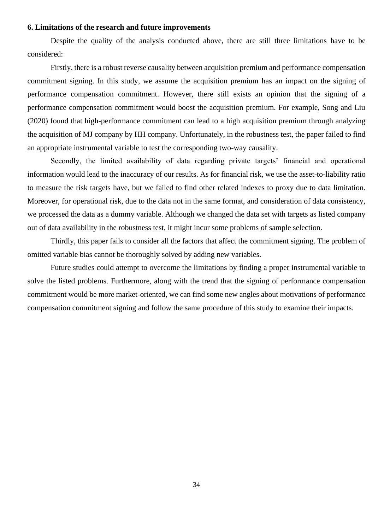#### **6. Limitations of the research and future improvements**

Despite the quality of the analysis conducted above, there are still three limitations have to be considered:

Firstly, there is a robust reverse causality between acquisition premium and performance compensation commitment signing. In this study, we assume the acquisition premium has an impact on the signing of performance compensation commitment. However, there still exists an opinion that the signing of a performance compensation commitment would boost the acquisition premium. For example, Song and Liu (2020) found that high-performance commitment can lead to a high acquisition premium through analyzing the acquisition of MJ company by HH company. Unfortunately, in the robustness test, the paper failed to find an appropriate instrumental variable to test the corresponding two-way causality.

Secondly, the limited availability of data regarding private targets' financial and operational information would lead to the inaccuracy of our results. As for financial risk, we use the asset-to-liability ratio to measure the risk targets have, but we failed to find other related indexes to proxy due to data limitation. Moreover, for operational risk, due to the data not in the same format, and consideration of data consistency, we processed the data as a dummy variable. Although we changed the data set with targets as listed company out of data availability in the robustness test, it might incur some problems of sample selection.

Thirdly, this paper fails to consider all the factors that affect the commitment signing. The problem of omitted variable bias cannot be thoroughly solved by adding new variables.

<span id="page-34-0"></span>Future studies could attempt to overcome the limitations by finding a proper instrumental variable to solve the listed problems. Furthermore, along with the trend that the signing of performance compensation commitment would be more market-oriented, we can find some new angles about motivations of performance compensation commitment signing and follow the same procedure of this study to examine their impacts.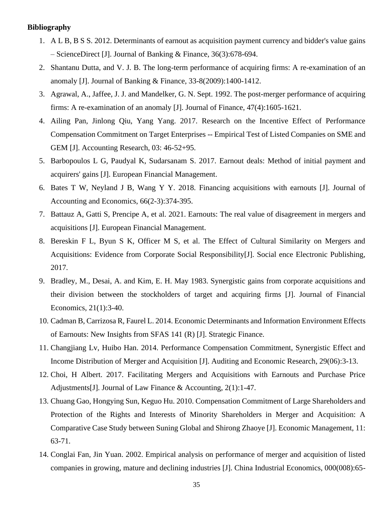#### **Bibliography**

- 1. A L B, B S S. 2012. Determinants of earnout as acquisition payment currency and bidder's value gains – ScienceDirect [J]. Journal of Banking & Finance, 36(3):678-694.
- 2. Shantanu Dutta, and V. J. B. The long-term performance of acquiring firms: A re-examination of an anomaly [J]. Journal of Banking & Finance, 33-8(2009):1400-1412.
- 3. Agrawal, A., Jaffee, J. J. and Mandelker, G. N. Sept. 1992. The post-merger performance of acquiring firms: A re-examination of an anomaly [J]. Journal of Finance, 47(4):1605-1621.
- 4. Ailing Pan, Jinlong Qiu, Yang Yang. 2017. Research on the Incentive Effect of Performance Compensation Commitment on Target Enterprises -- Empirical Test of Listed Companies on SME and GEM [J]. Accounting Research, 03: 46-52+95.
- 5. Barbopoulos L G, Paudyal K, Sudarsanam S. 2017. Earnout deals: Method of initial payment and acquirers' gains [J]. European Financial Management.
- 6. Bates T W, Neyland J B, Wang Y Y. 2018. Financing acquisitions with earnouts [J]. Journal of Accounting and Economics, 66(2-3):374-395.
- 7. Battauz A, Gatti S, Prencipe A, et al. 2021. Earnouts: The real value of disagreement in mergers and acquisitions [J]. European Financial Management.
- 8. Bereskin F L, Byun S K, Officer M S, et al. The Effect of Cultural Similarity on Mergers and Acquisitions: Evidence from Corporate Social Responsibility[J]. Social ence Electronic Publishing, 2017.
- 9. Bradley, M., Desai, A. and Kim, E. H. May 1983. Synergistic gains from corporate acquisitions and their division between the stockholders of target and acquiring firms [J]. Journal of Financial Economics, 21(1):3-40.
- 10. Cadman B, Carrizosa R, Faurel L. 2014. Economic Determinants and Information Environment Effects of Earnouts: New Insights from SFAS 141 (R) [J]. Strategic Finance.
- 11. Changjiang Lv, Huibo Han. 2014. Performance Compensation Commitment, Synergistic Effect and Income Distribution of Merger and Acquisition [J]. Auditing and Economic Research, 29(06):3-13.
- 12. Choi, H Albert. 2017. Facilitating Mergers and Acquisitions with Earnouts and Purchase Price Adjustments[J]. Journal of Law Finance & Accounting, 2(1):1-47.
- 13. Chuang Gao, Hongying Sun, Keguo Hu. 2010. Compensation Commitment of Large Shareholders and Protection of the Rights and Interests of Minority Shareholders in Merger and Acquisition: A Comparative Case Study between Suning Global and Shirong Zhaoye [J]. Economic Management, 11: 63-71.
- 14. Conglai Fan, Jin Yuan. 2002. Empirical analysis on performance of merger and acquisition of listed companies in growing, mature and declining industries [J]. China Industrial Economics, 000(008):65-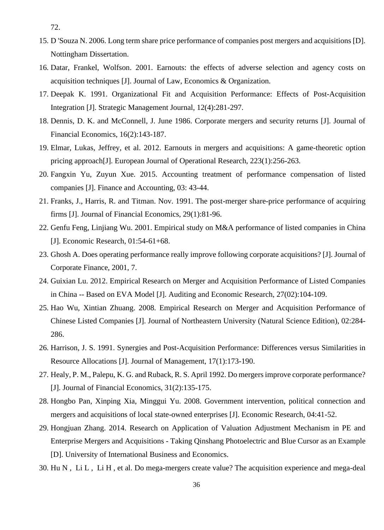72.

- 15. D 'Souza N. 2006. Long term share price performance of companies post mergers and acquisitions [D]. Nottingham Dissertation.
- 16. Datar, Frankel, Wolfson. 2001. Earnouts: the effects of adverse selection and agency costs on acquisition techniques [J]. Journal of Law, Economics & Organization.
- 17. Deepak K. 1991. Organizational Fit and Acquisition Performance: Effects of Post-Acquisition Integration [J]. Strategic Management Journal, 12(4):281-297.
- 18. Dennis, D. K. and McConnell, J. June 1986. Corporate mergers and security returns [J]. Journal of Financial Economics, 16(2):143-187.
- 19. Elmar, Lukas, Jeffrey, et al. 2012. Earnouts in mergers and acquisitions: A game-theoretic option pricing approach[J]. European Journal of Operational Research, 223(1):256-263.
- 20. Fangxin Yu, Zuyun Xue. 2015. Accounting treatment of performance compensation of listed companies [J]. Finance and Accounting, 03: 43-44.
- 21. Franks, J., Harris, R. and Titman. Nov. 1991. The post-merger share-price performance of acquiring firms [J]. Journal of Financial Economics, 29(1):81-96.
- 22. Genfu Feng, Linjiang Wu. 2001. Empirical study on M&A performance of listed companies in China [J]. Economic Research, 01:54-61+68.
- 23. Ghosh A. Does operating performance really improve following corporate acquisitions? [J]. Journal of Corporate Finance, 2001, 7.
- 24. Guixian Lu. 2012. Empirical Research on Merger and Acquisition Performance of Listed Companies in China -- Based on EVA Model [J]. Auditing and Economic Research, 27(02):104-109.
- 25. Hao Wu, Xintian Zhuang. 2008. Empirical Research on Merger and Acquisition Performance of Chinese Listed Companies [J]. Journal of Northeastern University (Natural Science Edition), 02:284- 286.
- 26. Harrison, J. S. 1991. Synergies and Post-Acquisition Performance: Differences versus Similarities in Resource Allocations [J]. Journal of Management, 17(1):173-190.
- 27. Healy, P. M., Palepu, K. G. and Ruback, R. S. April 1992. Do mergers improve corporate performance? [J]. Journal of Financial Economics, 31(2):135-175.
- 28. Hongbo Pan, Xinping Xia, Minggui Yu. 2008. Government intervention, political connection and mergers and acquisitions of local state-owned enterprises [J]. Economic Research, 04:41-52.
- 29. Hongjuan Zhang. 2014. Research on Application of Valuation Adjustment Mechanism in PE and Enterprise Mergers and Acquisitions - Taking Qinshang Photoelectric and Blue Cursor as an Example [D]. University of International Business and Economics.
- 30. Hu N , Li L , Li H , et al. Do mega-mergers create value? The acquisition experience and mega-deal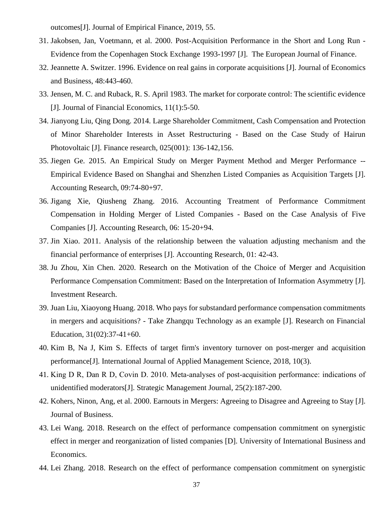outcomes[J]. Journal of Empirical Finance, 2019, 55.

- 31. Jakobsen, Jan, Voetmann, et al. 2000. Post-Acquisition Performance in the Short and Long Run Evidence from the Copenhagen Stock Exchange 1993-1997 [J]. The European Journal of Finance.
- 32. Jeannette A. Switzer. 1996. Evidence on real gains in corporate acquisitions [J]. Journal of Economics and Business, 48:443-460.
- 33. Jensen, M. C. and Ruback, R. S. April 1983. The market for corporate control: The scientific evidence [J]. Journal of Financial Economics, 11(1):5-50.
- 34. Jianyong Liu, Qing Dong. 2014. Large Shareholder Commitment, Cash Compensation and Protection of Minor Shareholder Interests in Asset Restructuring - Based on the Case Study of Hairun Photovoltaic [J]. Finance research, 025(001): 136-142,156.
- 35. Jiegen Ge. 2015. An Empirical Study on Merger Payment Method and Merger Performance -- Empirical Evidence Based on Shanghai and Shenzhen Listed Companies as Acquisition Targets [J]. Accounting Research, 09:74-80+97.
- 36. Jigang Xie, Qiusheng Zhang. 2016. Accounting Treatment of Performance Commitment Compensation in Holding Merger of Listed Companies - Based on the Case Analysis of Five Companies [J]. Accounting Research, 06: 15-20+94.
- 37. Jin Xiao. 2011. Analysis of the relationship between the valuation adjusting mechanism and the financial performance of enterprises [J]. Accounting Research, 01: 42-43.
- 38. Ju Zhou, Xin Chen. 2020. Research on the Motivation of the Choice of Merger and Acquisition Performance Compensation Commitment: Based on the Interpretation of Information Asymmetry [J]. Investment Research.
- 39. Juan Liu, Xiaoyong Huang. 2018. Who pays for substandard performance compensation commitments in mergers and acquisitions? - Take Zhangqu Technology as an example [J]. Research on Financial Education, 31(02):37-41+60.
- 40. Kim B, Na J, Kim S. Effects of target firm's inventory turnover on post-merger and acquisition performance[J]. International Journal of Applied Management Science, 2018, 10(3).
- 41. King D R, Dan R D, Covin D. 2010. Meta-analyses of post-acquisition performance: indications of unidentified moderators[J]. Strategic Management Journal, 25(2):187-200.
- 42. Kohers, Ninon, Ang, et al. 2000. Earnouts in Mergers: Agreeing to Disagree and Agreeing to Stay [J]. Journal of Business.
- 43. Lei Wang. 2018. Research on the effect of performance compensation commitment on synergistic effect in merger and reorganization of listed companies [D]. University of International Business and Economics.
- 44. Lei Zhang. 2018. Research on the effect of performance compensation commitment on synergistic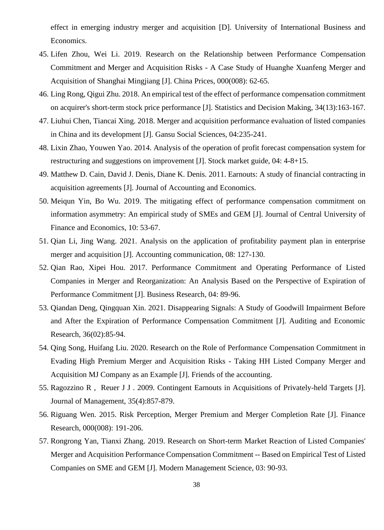effect in emerging industry merger and acquisition [D]. University of International Business and Economics.

- 45. Lifen Zhou, Wei Li. 2019. Research on the Relationship between Performance Compensation Commitment and Merger and Acquisition Risks - A Case Study of Huanghe Xuanfeng Merger and Acquisition of Shanghai Mingjiang [J]. China Prices, 000(008): 62-65.
- 46. Ling Rong, Qigui Zhu. 2018. An empirical test of the effect of performance compensation commitment on acquirer's short-term stock price performance [J]. Statistics and Decision Making, 34(13):163-167.
- 47. Liuhui Chen, Tiancai Xing. 2018. Merger and acquisition performance evaluation of listed companies in China and its development [J]. Gansu Social Sciences, 04:235-241.
- 48. Lixin Zhao, Youwen Yao. 2014. Analysis of the operation of profit forecast compensation system for restructuring and suggestions on improvement [J]. Stock market guide, 04: 4-8+15.
- 49. Matthew D. Cain, David J. Denis, Diane K. Denis. 2011. Earnouts: A study of financial contracting in acquisition agreements [J]. Journal of Accounting and Economics.
- 50. Meiqun Yin, Bo Wu. 2019. The mitigating effect of performance compensation commitment on information asymmetry: An empirical study of SMEs and GEM [J]. Journal of Central University of Finance and Economics, 10: 53-67.
- 51. Qian Li, Jing Wang. 2021. Analysis on the application of profitability payment plan in enterprise merger and acquisition [J]. Accounting communication, 08: 127-130.
- 52. Qian Rao, Xipei Hou. 2017. Performance Commitment and Operating Performance of Listed Companies in Merger and Reorganization: An Analysis Based on the Perspective of Expiration of Performance Commitment [J]. Business Research, 04: 89-96.
- 53. Qiandan Deng, Qingquan Xin. 2021. Disappearing Signals: A Study of Goodwill Impairment Before and After the Expiration of Performance Compensation Commitment [J]. Auditing and Economic Research, 36(02):85-94.
- 54. Qing Song, Huifang Liu. 2020. Research on the Role of Performance Compensation Commitment in Evading High Premium Merger and Acquisition Risks - Taking HH Listed Company Merger and Acquisition MJ Company as an Example [J]. Friends of the accounting.
- 55. Ragozzino R , Reuer J J . 2009. Contingent Earnouts in Acquisitions of Privately-held Targets [J]. Journal of Management, 35(4):857-879.
- 56. Riguang Wen. 2015. Risk Perception, Merger Premium and Merger Completion Rate [J]. Finance Research, 000(008): 191-206.
- 57. Rongrong Yan, Tianxi Zhang. 2019. Research on Short-term Market Reaction of Listed Companies' Merger and Acquisition Performance Compensation Commitment -- Based on Empirical Test of Listed Companies on SME and GEM [J]. Modern Management Science, 03: 90-93.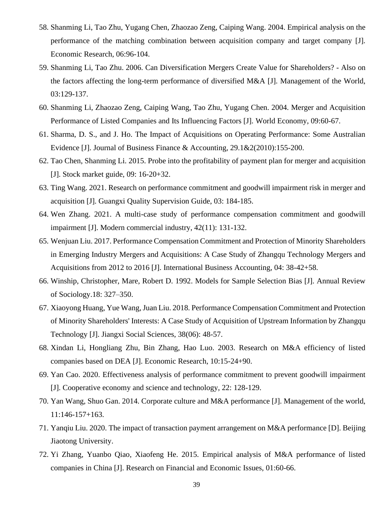- 58. Shanming Li, Tao Zhu, Yugang Chen, Zhaozao Zeng, Caiping Wang. 2004. Empirical analysis on the performance of the matching combination between acquisition company and target company [J]. Economic Research, 06:96-104.
- 59. Shanming Li, Tao Zhu. 2006. Can Diversification Mergers Create Value for Shareholders? Also on the factors affecting the long-term performance of diversified M&A [J]. Management of the World, 03:129-137.
- 60. Shanming Li, Zhaozao Zeng, Caiping Wang, Tao Zhu, Yugang Chen. 2004. Merger and Acquisition Performance of Listed Companies and Its Influencing Factors [J]. World Economy, 09:60-67.
- 61. Sharma, D. S., and J. Ho. The Impact of Acquisitions on Operating Performance: Some Australian Evidence [J]. Journal of Business Finance & Accounting, 29.1&2(2010):155-200.
- 62. Tao Chen, Shanming Li. 2015. Probe into the profitability of payment plan for merger and acquisition [J]. Stock market guide, 09: 16-20+32.
- 63. Ting Wang. 2021. Research on performance commitment and goodwill impairment risk in merger and acquisition [J]. Guangxi Quality Supervision Guide, 03: 184-185.
- 64. Wen Zhang. 2021. A multi-case study of performance compensation commitment and goodwill impairment [J]. Modern commercial industry, 42(11): 131-132.
- 65. Wenjuan Liu. 2017. Performance Compensation Commitment and Protection of Minority Shareholders in Emerging Industry Mergers and Acquisitions: A Case Study of Zhangqu Technology Mergers and Acquisitions from 2012 to 2016 [J]. International Business Accounting, 04: 38-42+58.
- 66. Winship, Christopher, Mare, Robert D. 1992. Models for Sample Selection Bias [J]. Annual Review of Sociology.18: 327–350.
- 67. Xiaoyong Huang, Yue Wang, Juan Liu. 2018. Performance Compensation Commitment and Protection of Minority Shareholders' Interests: A Case Study of Acquisition of Upstream Information by Zhangqu Technology [J]. Jiangxi Social Sciences, 38(06): 48-57.
- 68. Xindan Li, Hongliang Zhu, Bin Zhang, Hao Luo. 2003. Research on M&A efficiency of listed companies based on DEA [J]. Economic Research, 10:15-24+90.
- 69. Yan Cao. 2020. Effectiveness analysis of performance commitment to prevent goodwill impairment [J]. Cooperative economy and science and technology, 22: 128-129.
- 70. Yan Wang, Shuo Gan. 2014. Corporate culture and M&A performance [J]. Management of the world, 11:146-157+163.
- 71. Yanqiu Liu. 2020. The impact of transaction payment arrangement on M&A performance [D]. Beijing Jiaotong University.
- 72. Yi Zhang, Yuanbo Qiao, Xiaofeng He. 2015. Empirical analysis of M&A performance of listed companies in China [J]. Research on Financial and Economic Issues, 01:60-66.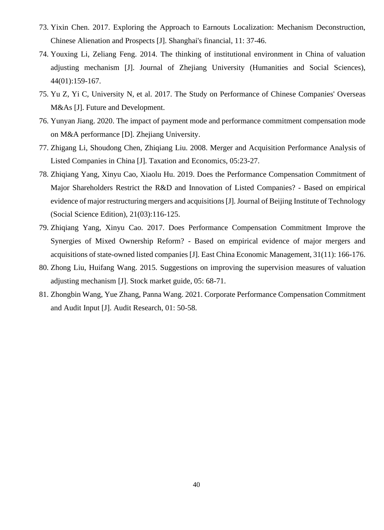- 73. Yixin Chen. 2017. Exploring the Approach to Earnouts Localization: Mechanism Deconstruction, Chinese Alienation and Prospects [J]. Shanghai's financial, 11: 37-46.
- 74. Youxing Li, Zeliang Feng. 2014. The thinking of institutional environment in China of valuation adjusting mechanism [J]. Journal of Zhejiang University (Humanities and Social Sciences), 44(01):159-167.
- 75. Yu Z, Yi C, University N, et al. 2017. The Study on Performance of Chinese Companies' Overseas M&As [J]. Future and Development.
- 76. Yunyan Jiang. 2020. The impact of payment mode and performance commitment compensation mode on M&A performance [D]. Zhejiang University.
- 77. Zhigang Li, Shoudong Chen, Zhiqiang Liu. 2008. Merger and Acquisition Performance Analysis of Listed Companies in China [J]. Taxation and Economics, 05:23-27.
- 78. Zhiqiang Yang, Xinyu Cao, Xiaolu Hu. 2019. Does the Performance Compensation Commitment of Major Shareholders Restrict the R&D and Innovation of Listed Companies? - Based on empirical evidence of major restructuring mergers and acquisitions [J]. Journal of Beijing Institute of Technology (Social Science Edition), 21(03):116-125.
- 79. Zhiqiang Yang, Xinyu Cao. 2017. Does Performance Compensation Commitment Improve the Synergies of Mixed Ownership Reform? - Based on empirical evidence of major mergers and acquisitions of state-owned listed companies [J]. East China Economic Management, 31(11): 166-176.
- 80. Zhong Liu, Huifang Wang. 2015. Suggestions on improving the supervision measures of valuation adjusting mechanism [J]. Stock market guide, 05: 68-71.
- <span id="page-40-0"></span>81. Zhongbin Wang, Yue Zhang, Panna Wang. 2021. Corporate Performance Compensation Commitment and Audit Input [J]. Audit Research, 01: 50-58.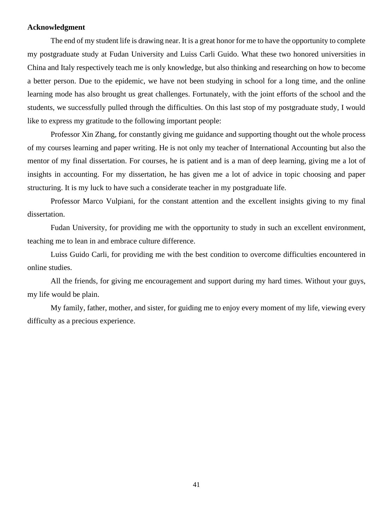#### **Acknowledgment**

The end of my student life is drawing near. It is a great honor for me to have the opportunity to complete my postgraduate study at Fudan University and Luiss Carli Guido. What these two honored universities in China and Italy respectively teach me is only knowledge, but also thinking and researching on how to become a better person. Due to the epidemic, we have not been studying in school for a long time, and the online learning mode has also brought us great challenges. Fortunately, with the joint efforts of the school and the students, we successfully pulled through the difficulties. On this last stop of my postgraduate study, I would like to express my gratitude to the following important people:

Professor Xin Zhang, for constantly giving me guidance and supporting thought out the whole process of my courses learning and paper writing. He is not only my teacher of International Accounting but also the mentor of my final dissertation. For courses, he is patient and is a man of deep learning, giving me a lot of insights in accounting. For my dissertation, he has given me a lot of advice in topic choosing and paper structuring. It is my luck to have such a considerate teacher in my postgraduate life.

Professor Marco Vulpiani, for the constant attention and the excellent insights giving to my final dissertation.

Fudan University, for providing me with the opportunity to study in such an excellent environment, teaching me to lean in and embrace culture difference.

Luiss Guido Carli, for providing me with the best condition to overcome difficulties encountered in online studies.

All the friends, for giving me encouragement and support during my hard times. Without your guys, my life would be plain.

My family, father, mother, and sister, for guiding me to enjoy every moment of my life, viewing every difficulty as a precious experience.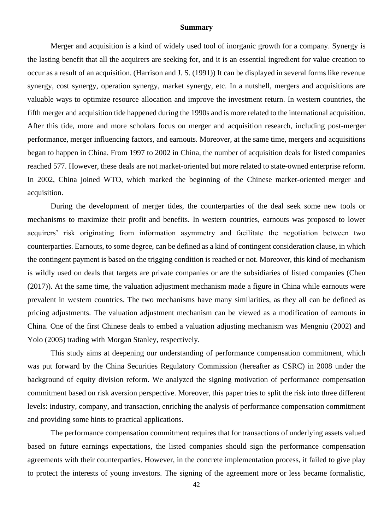#### **Summary**

Merger and acquisition is a kind of widely used tool of inorganic growth for a company. Synergy is the lasting benefit that all the acquirers are seeking for, and it is an essential ingredient for value creation to occur as a result of an acquisition. (Harrison and J. S. (1991)) It can be displayed in several forms like revenue synergy, cost synergy, operation synergy, market synergy, etc. In a nutshell, mergers and acquisitions are valuable ways to optimize resource allocation and improve the investment return. In western countries, the fifth merger and acquisition tide happened during the 1990s and is more related to the international acquisition. After this tide, more and more scholars focus on merger and acquisition research, including post-merger performance, merger influencing factors, and earnouts. Moreover, at the same time, mergers and acquisitions began to happen in China. From 1997 to 2002 in China, the number of acquisition deals for listed companies reached 577. However, these deals are not market-oriented but more related to state-owned enterprise reform. In 2002, China joined WTO, which marked the beginning of the Chinese market-oriented merger and acquisition.

During the development of merger tides, the counterparties of the deal seek some new tools or mechanisms to maximize their profit and benefits. In western countries, earnouts was proposed to lower acquirers' risk originating from information asymmetry and facilitate the negotiation between two counterparties. Earnouts, to some degree, can be defined as a kind of contingent consideration clause, in which the contingent payment is based on the trigging condition is reached or not. Moreover, this kind of mechanism is wildly used on deals that targets are private companies or are the subsidiaries of listed companies (Chen (2017)). At the same time, the valuation adjustment mechanism made a figure in China while earnouts were prevalent in western countries. The two mechanisms have many similarities, as they all can be defined as pricing adjustments. The valuation adjustment mechanism can be viewed as a modification of earnouts in China. One of the first Chinese deals to embed a valuation adjusting mechanism was Mengniu (2002) and Yolo (2005) trading with Morgan Stanley, respectively.

This study aims at deepening our understanding of performance compensation commitment, which was put forward by the China Securities Regulatory Commission (hereafter as CSRC) in 2008 under the background of equity division reform. We analyzed the signing motivation of performance compensation commitment based on risk aversion perspective. Moreover, this paper tries to split the risk into three different levels: industry, company, and transaction, enriching the analysis of performance compensation commitment and providing some hints to practical applications.

The performance compensation commitment requires that for transactions of underlying assets valued based on future earnings expectations, the listed companies should sign the performance compensation agreements with their counterparties. However, in the concrete implementation process, it failed to give play to protect the interests of young investors. The signing of the agreement more or less became formalistic,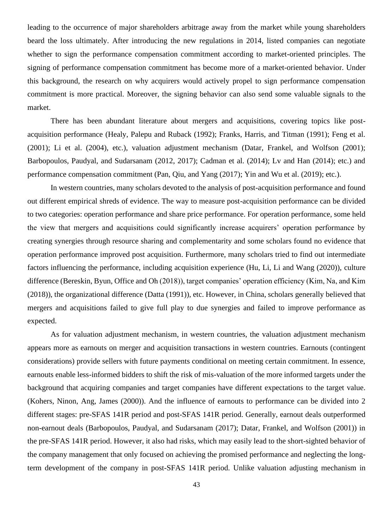leading to the occurrence of major shareholders arbitrage away from the market while young shareholders beard the loss ultimately. After introducing the new regulations in 2014, listed companies can negotiate whether to sign the performance compensation commitment according to market-oriented principles. The signing of performance compensation commitment has become more of a market-oriented behavior. Under this background, the research on why acquirers would actively propel to sign performance compensation commitment is more practical. Moreover, the signing behavior can also send some valuable signals to the market.

There has been abundant literature about mergers and acquisitions, covering topics like postacquisition performance (Healy, Palepu and Ruback (1992); Franks, Harris, and Titman (1991); Feng et al. (2001); Li et al. (2004), etc.), valuation adjustment mechanism (Datar, Frankel, and Wolfson (2001); Barbopoulos, Paudyal, and Sudarsanam (2012, 2017); Cadman et al. (2014); Lv and Han (2014); etc.) and performance compensation commitment (Pan, Qiu, and Yang (2017); Yin and Wu et al. (2019); etc.).

In western countries, many scholars devoted to the analysis of post-acquisition performance and found out different empirical shreds of evidence. The way to measure post-acquisition performance can be divided to two categories: operation performance and share price performance. For operation performance, some held the view that mergers and acquisitions could significantly increase acquirers' operation performance by creating synergies through resource sharing and complementarity and some scholars found no evidence that operation performance improved post acquisition. Furthermore, many scholars tried to find out intermediate factors influencing the performance, including acquisition experience (Hu, Li, Li and Wang (2020)), culture difference (Bereskin, Byun, Office and Oh (2018)), target companies' operation efficiency (Kim, Na, and Kim (2018)), the organizational difference (Datta (1991)), etc. However, in China, scholars generally believed that mergers and acquisitions failed to give full play to due synergies and failed to improve performance as expected.

As for valuation adjustment mechanism, in western countries, the valuation adjustment mechanism appears more as earnouts on merger and acquisition transactions in western countries. Earnouts (contingent considerations) provide sellers with future payments conditional on meeting certain commitment. In essence, earnouts enable less-informed bidders to shift the risk of mis-valuation of the more informed targets under the background that acquiring companies and target companies have different expectations to the target value. (Kohers, Ninon, Ang, James (2000)). And the influence of earnouts to performance can be divided into 2 different stages: pre-SFAS 141R period and post-SFAS 141R period. Generally, earnout deals outperformed non-earnout deals (Barbopoulos, Paudyal, and Sudarsanam (2017); Datar, Frankel, and Wolfson (2001)) in the pre-SFAS 141R period. However, it also had risks, which may easily lead to the short-sighted behavior of the company management that only focused on achieving the promised performance and neglecting the longterm development of the company in post-SFAS 141R period. Unlike valuation adjusting mechanism in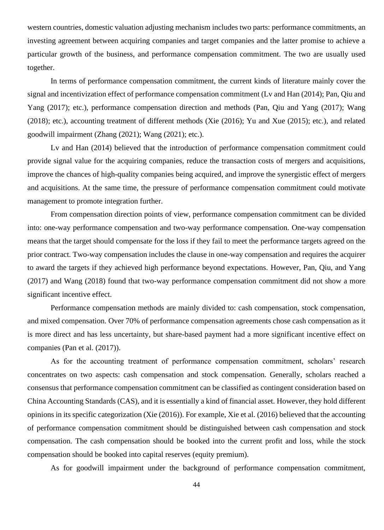western countries, domestic valuation adjusting mechanism includes two parts: performance commitments, an investing agreement between acquiring companies and target companies and the latter promise to achieve a particular growth of the business, and performance compensation commitment. The two are usually used together.

In terms of performance compensation commitment, the current kinds of literature mainly cover the signal and incentivization effect of performance compensation commitment (Lv and Han (2014); Pan, Qiu and Yang (2017); etc.), performance compensation direction and methods (Pan, Qiu and Yang (2017); Wang (2018); etc.), accounting treatment of different methods (Xie (2016); Yu and Xue (2015); etc.), and related goodwill impairment (Zhang (2021); Wang (2021); etc.).

Lv and Han (2014) believed that the introduction of performance compensation commitment could provide signal value for the acquiring companies, reduce the transaction costs of mergers and acquisitions, improve the chances of high-quality companies being acquired, and improve the synergistic effect of mergers and acquisitions. At the same time, the pressure of performance compensation commitment could motivate management to promote integration further.

From compensation direction points of view, performance compensation commitment can be divided into: one-way performance compensation and two-way performance compensation. One-way compensation means that the target should compensate for the loss if they fail to meet the performance targets agreed on the prior contract. Two-way compensation includes the clause in one-way compensation and requires the acquirer to award the targets if they achieved high performance beyond expectations. However, Pan, Qiu, and Yang (2017) and Wang (2018) found that two-way performance compensation commitment did not show a more significant incentive effect.

Performance compensation methods are mainly divided to: cash compensation, stock compensation, and mixed compensation. Over 70% of performance compensation agreements chose cash compensation as it is more direct and has less uncertainty, but share-based payment had a more significant incentive effect on companies (Pan et al. (2017)).

As for the accounting treatment of performance compensation commitment, scholars' research concentrates on two aspects: cash compensation and stock compensation. Generally, scholars reached a consensus that performance compensation commitment can be classified as contingent consideration based on China Accounting Standards (CAS), and it is essentially a kind of financial asset. However, they hold different opinions in its specific categorization (Xie (2016)). For example, Xie et al. (2016) believed that the accounting of performance compensation commitment should be distinguished between cash compensation and stock compensation. The cash compensation should be booked into the current profit and loss, while the stock compensation should be booked into capital reserves (equity premium).

As for goodwill impairment under the background of performance compensation commitment,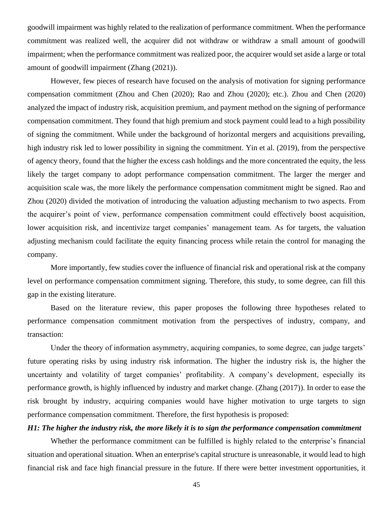goodwill impairment was highly related to the realization of performance commitment. When the performance commitment was realized well, the acquirer did not withdraw or withdraw a small amount of goodwill impairment; when the performance commitment was realized poor, the acquirer would set aside a large or total amount of goodwill impairment (Zhang (2021)).

However, few pieces of research have focused on the analysis of motivation for signing performance compensation commitment (Zhou and Chen (2020); Rao and Zhou (2020); etc.). Zhou and Chen (2020) analyzed the impact of industry risk, acquisition premium, and payment method on the signing of performance compensation commitment. They found that high premium and stock payment could lead to a high possibility of signing the commitment. While under the background of horizontal mergers and acquisitions prevailing, high industry risk led to lower possibility in signing the commitment. Yin et al. (2019), from the perspective of agency theory, found that the higher the excess cash holdings and the more concentrated the equity, the less likely the target company to adopt performance compensation commitment. The larger the merger and acquisition scale was, the more likely the performance compensation commitment might be signed. Rao and Zhou (2020) divided the motivation of introducing the valuation adjusting mechanism to two aspects. From the acquirer's point of view, performance compensation commitment could effectively boost acquisition, lower acquisition risk, and incentivize target companies' management team. As for targets, the valuation adjusting mechanism could facilitate the equity financing process while retain the control for managing the company.

More importantly, few studies cover the influence of financial risk and operational risk at the company level on performance compensation commitment signing. Therefore, this study, to some degree, can fill this gap in the existing literature.

Based on the literature review, this paper proposes the following three hypotheses related to performance compensation commitment motivation from the perspectives of industry, company, and transaction:

Under the theory of information asymmetry, acquiring companies, to some degree, can judge targets' future operating risks by using industry risk information. The higher the industry risk is, the higher the uncertainty and volatility of target companies' profitability. A company's development, especially its performance growth, is highly influenced by industry and market change. (Zhang (2017)). In order to ease the risk brought by industry, acquiring companies would have higher motivation to urge targets to sign performance compensation commitment. Therefore, the first hypothesis is proposed:

#### *H1: The higher the industry risk, the more likely it is to sign the performance compensation commitment*

Whether the performance commitment can be fulfilled is highly related to the enterprise's financial situation and operational situation. When an enterprise's capital structure is unreasonable, it would lead to high financial risk and face high financial pressure in the future. If there were better investment opportunities, it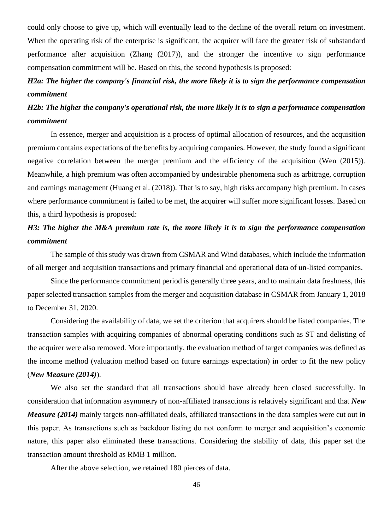could only choose to give up, which will eventually lead to the decline of the overall return on investment. When the operating risk of the enterprise is significant, the acquirer will face the greater risk of substandard performance after acquisition (Zhang (2017)), and the stronger the incentive to sign performance compensation commitment will be. Based on this, the second hypothesis is proposed:

# *H2a: The higher the company's financial risk, the more likely it is to sign the performance compensation commitment*

# *H2b: The higher the company's operational risk, the more likely it is to sign a performance compensation commitment*

In essence, merger and acquisition is a process of optimal allocation of resources, and the acquisition premium contains expectations of the benefits by acquiring companies. However, the study found a significant negative correlation between the merger premium and the efficiency of the acquisition (Wen (2015)). Meanwhile, a high premium was often accompanied by undesirable phenomena such as arbitrage, corruption and earnings management (Huang et al. (2018)). That is to say, high risks accompany high premium. In cases where performance commitment is failed to be met, the acquirer will suffer more significant losses. Based on this, a third hypothesis is proposed:

# *H3: The higher the M&A premium rate is, the more likely it is to sign the performance compensation commitment*

The sample of this study was drawn from CSMAR and Wind databases, which include the information of all merger and acquisition transactions and primary financial and operational data of un-listed companies.

Since the performance commitment period is generally three years, and to maintain data freshness, this paper selected transaction samples from the merger and acquisition database in CSMAR from January 1, 2018 to December 31, 2020.

Considering the availability of data, we set the criterion that acquirers should be listed companies. The transaction samples with acquiring companies of abnormal operating conditions such as ST and delisting of the acquirer were also removed. More importantly, the evaluation method of target companies was defined as the income method (valuation method based on future earnings expectation) in order to fit the new policy (*New Measure (2014)*).

We also set the standard that all transactions should have already been closed successfully. In consideration that information asymmetry of non-affiliated transactions is relatively significant and that *New Measure (2014)* mainly targets non-affiliated deals, affiliated transactions in the data samples were cut out in this paper. As transactions such as backdoor listing do not conform to merger and acquisition's economic nature, this paper also eliminated these transactions. Considering the stability of data, this paper set the transaction amount threshold as RMB 1 million.

After the above selection, we retained 180 pierces of data.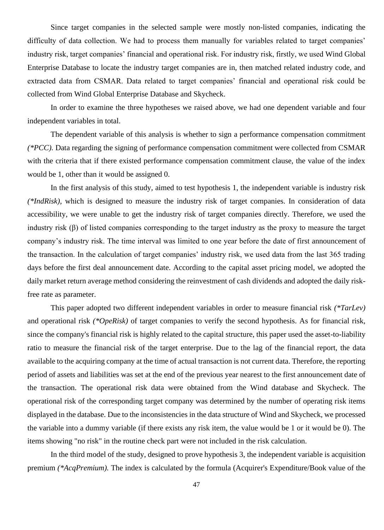Since target companies in the selected sample were mostly non-listed companies, indicating the difficulty of data collection. We had to process them manually for variables related to target companies' industry risk, target companies' financial and operational risk. For industry risk, firstly, we used Wind Global Enterprise Database to locate the industry target companies are in, then matched related industry code, and extracted data from CSMAR. Data related to target companies' financial and operational risk could be collected from Wind Global Enterprise Database and Skycheck.

In order to examine the three hypotheses we raised above, we had one dependent variable and four independent variables in total.

The dependent variable of this analysis is whether to sign a performance compensation commitment *(\*PCC).* Data regarding the signing of performance compensation commitment were collected from CSMAR with the criteria that if there existed performance compensation commitment clause, the value of the index would be 1, other than it would be assigned 0.

In the first analysis of this study, aimed to test hypothesis 1, the independent variable is industry risk *(\*IndRisk),* which is designed to measure the industry risk of target companies. In consideration of data accessibility, we were unable to get the industry risk of target companies directly. Therefore, we used the industry risk (β) of listed companies corresponding to the target industry as the proxy to measure the target company's industry risk. The time interval was limited to one year before the date of first announcement of the transaction. In the calculation of target companies' industry risk, we used data from the last 365 trading days before the first deal announcement date. According to the capital asset pricing model, we adopted the daily market return average method considering the reinvestment of cash dividends and adopted the daily riskfree rate as parameter.

This paper adopted two different independent variables in order to measure financial risk *(\*TarLev)* and operational risk *(\*OpeRisk)* of target companies to verify the second hypothesis. As for financial risk, since the company's financial risk is highly related to the capital structure, this paper used the asset-to-liability ratio to measure the financial risk of the target enterprise. Due to the lag of the financial report, the data available to the acquiring company at the time of actual transaction is not current data. Therefore, the reporting period of assets and liabilities was set at the end of the previous year nearest to the first announcement date of the transaction. The operational risk data were obtained from the Wind database and Skycheck. The operational risk of the corresponding target company was determined by the number of operating risk items displayed in the database. Due to the inconsistencies in the data structure of Wind and Skycheck, we processed the variable into a dummy variable (if there exists any risk item, the value would be 1 or it would be 0). The items showing "no risk" in the routine check part were not included in the risk calculation.

In the third model of the study, designed to prove hypothesis 3, the independent variable is acquisition premium *(\*AcqPremium).* The index is calculated by the formula (Acquirer's Expenditure/Book value of the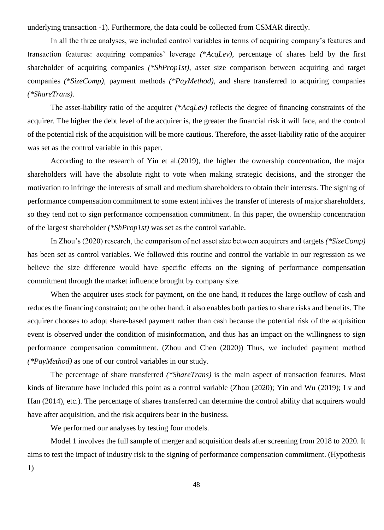underlying transaction -1). Furthermore, the data could be collected from CSMAR directly.

In all the three analyses, we included control variables in terms of acquiring company's features and transaction features: acquiring companies' leverage *(\*AcqLev)*, percentage of shares held by the first shareholder of acquiring companies *(\*ShProp1st)*, asset size comparison between acquiring and target companies *(\*SizeComp)*, payment methods *(\*PayMethod)*, and share transferred to acquiring companies *(\*ShareTrans)*.

The asset-liability ratio of the acquirer *(\*AcqLev)* reflects the degree of financing constraints of the acquirer. The higher the debt level of the acquirer is, the greater the financial risk it will face, and the control of the potential risk of the acquisition will be more cautious. Therefore, the asset-liability ratio of the acquirer was set as the control variable in this paper.

According to the research of Yin et al.(2019), the higher the ownership concentration, the major shareholders will have the absolute right to vote when making strategic decisions, and the stronger the motivation to infringe the interests of small and medium shareholders to obtain their interests. The signing of performance compensation commitment to some extent inhives the transfer of interests of major shareholders, so they tend not to sign performance compensation commitment. In this paper, the ownership concentration of the largest shareholder *(\*ShProp1st)* was set as the control variable.

In Zhou's (2020) research, the comparison of net asset size between acquirers and targets *(\*SizeComp)* has been set as control variables. We followed this routine and control the variable in our regression as we believe the size difference would have specific effects on the signing of performance compensation commitment through the market influence brought by company size.

When the acquirer uses stock for payment, on the one hand, it reduces the large outflow of cash and reduces the financing constraint; on the other hand, it also enables both parties to share risks and benefits. The acquirer chooses to adopt share-based payment rather than cash because the potential risk of the acquisition event is observed under the condition of misinformation, and thus has an impact on the willingness to sign performance compensation commitment. (Zhou and Chen (2020)) Thus, we included payment method *(\*PayMethod)* as one of our control variables in our study.

The percentage of share transferred *(\*ShareTrans)* is the main aspect of transaction features. Most kinds of literature have included this point as a control variable (Zhou (2020); Yin and Wu (2019); Lv and Han (2014), etc.). The percentage of shares transferred can determine the control ability that acquirers would have after acquisition, and the risk acquirers bear in the business.

We performed our analyses by testing four models.

Model 1 involves the full sample of merger and acquisition deals after screening from 2018 to 2020. It aims to test the impact of industry risk to the signing of performance compensation commitment. (Hypothesis

1)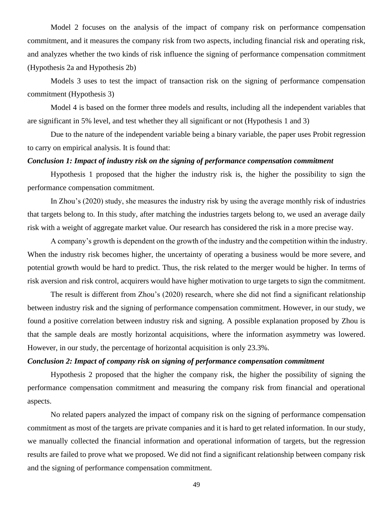Model 2 focuses on the analysis of the impact of company risk on performance compensation commitment, and it measures the company risk from two aspects, including financial risk and operating risk, and analyzes whether the two kinds of risk influence the signing of performance compensation commitment (Hypothesis 2a and Hypothesis 2b)

Models 3 uses to test the impact of transaction risk on the signing of performance compensation commitment (Hypothesis 3)

Model 4 is based on the former three models and results, including all the independent variables that are significant in 5% level, and test whether they all significant or not (Hypothesis 1 and 3)

Due to the nature of the independent variable being a binary variable, the paper uses Probit regression to carry on empirical analysis. It is found that:

#### *Conclusion 1: Impact of industry risk on the signing of performance compensation commitment*

Hypothesis 1 proposed that the higher the industry risk is, the higher the possibility to sign the performance compensation commitment.

In Zhou's (2020) study, she measures the industry risk by using the average monthly risk of industries that targets belong to. In this study, after matching the industries targets belong to, we used an average daily risk with a weight of aggregate market value. Our research has considered the risk in a more precise way.

A company's growth is dependent on the growth of the industry and the competition within the industry. When the industry risk becomes higher, the uncertainty of operating a business would be more severe, and potential growth would be hard to predict. Thus, the risk related to the merger would be higher. In terms of risk aversion and risk control, acquirers would have higher motivation to urge targets to sign the commitment.

The result is different from Zhou's (2020) research, where she did not find a significant relationship between industry risk and the signing of performance compensation commitment. However, in our study, we found a positive correlation between industry risk and signing. A possible explanation proposed by Zhou is that the sample deals are mostly horizontal acquisitions, where the information asymmetry was lowered. However, in our study, the percentage of horizontal acquisition is only 23.3%.

#### *Conclusion 2: Impact of company risk on signing of performance compensation commitment*

Hypothesis 2 proposed that the higher the company risk, the higher the possibility of signing the performance compensation commitment and measuring the company risk from financial and operational aspects.

No related papers analyzed the impact of company risk on the signing of performance compensation commitment as most of the targets are private companies and it is hard to get related information. In our study, we manually collected the financial information and operational information of targets, but the regression results are failed to prove what we proposed. We did not find a significant relationship between company risk and the signing of performance compensation commitment.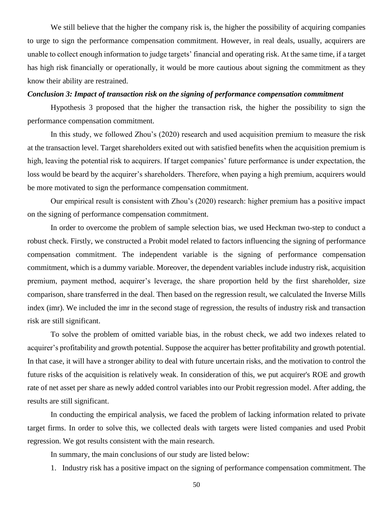We still believe that the higher the company risk is, the higher the possibility of acquiring companies to urge to sign the performance compensation commitment. However, in real deals, usually, acquirers are unable to collect enough information to judge targets' financial and operating risk. At the same time, if a target has high risk financially or operationally, it would be more cautious about signing the commitment as they know their ability are restrained.

#### *Conclusion 3: Impact of transaction risk on the signing of performance compensation commitment*

Hypothesis 3 proposed that the higher the transaction risk, the higher the possibility to sign the performance compensation commitment.

In this study, we followed Zhou's (2020) research and used acquisition premium to measure the risk at the transaction level. Target shareholders exited out with satisfied benefits when the acquisition premium is high, leaving the potential risk to acquirers. If target companies' future performance is under expectation, the loss would be beard by the acquirer's shareholders. Therefore, when paying a high premium, acquirers would be more motivated to sign the performance compensation commitment.

Our empirical result is consistent with Zhou's (2020) research: higher premium has a positive impact on the signing of performance compensation commitment.

In order to overcome the problem of sample selection bias, we used Heckman two-step to conduct a robust check. Firstly, we constructed a Probit model related to factors influencing the signing of performance compensation commitment. The independent variable is the signing of performance compensation commitment, which is a dummy variable. Moreover, the dependent variables include industry risk, acquisition premium, payment method, acquirer's leverage, the share proportion held by the first shareholder, size comparison, share transferred in the deal. Then based on the regression result, we calculated the Inverse Mills index (imr). We included the imr in the second stage of regression, the results of industry risk and transaction risk are still significant.

To solve the problem of omitted variable bias, in the robust check, we add two indexes related to acquirer's profitability and growth potential. Suppose the acquirer has better profitability and growth potential. In that case, it will have a stronger ability to deal with future uncertain risks, and the motivation to control the future risks of the acquisition is relatively weak. In consideration of this, we put acquirer's ROE and growth rate of net asset per share as newly added control variables into our Probit regression model. After adding, the results are still significant.

In conducting the empirical analysis, we faced the problem of lacking information related to private target firms. In order to solve this, we collected deals with targets were listed companies and used Probit regression. We got results consistent with the main research.

In summary, the main conclusions of our study are listed below:

1. Industry risk has a positive impact on the signing of performance compensation commitment. The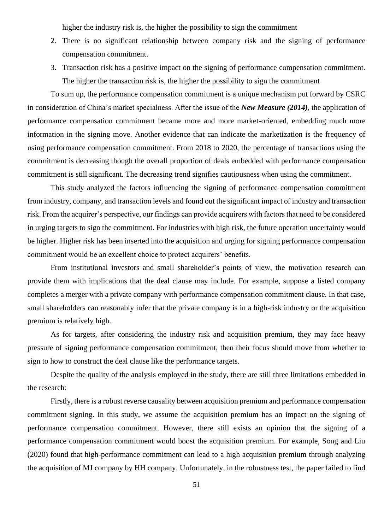higher the industry risk is, the higher the possibility to sign the commitment

- 2. There is no significant relationship between company risk and the signing of performance compensation commitment.
- 3. Transaction risk has a positive impact on the signing of performance compensation commitment. The higher the transaction risk is, the higher the possibility to sign the commitment

To sum up, the performance compensation commitment is a unique mechanism put forward by CSRC in consideration of China's market specialness. After the issue of the *New Measure (2014)*, the application of performance compensation commitment became more and more market-oriented, embedding much more information in the signing move. Another evidence that can indicate the marketization is the frequency of using performance compensation commitment. From 2018 to 2020, the percentage of transactions using the commitment is decreasing though the overall proportion of deals embedded with performance compensation commitment is still significant. The decreasing trend signifies cautiousness when using the commitment.

This study analyzed the factors influencing the signing of performance compensation commitment from industry, company, and transaction levels and found out the significant impact of industry and transaction risk. From the acquirer's perspective, our findings can provide acquirers with factors that need to be considered in urging targets to sign the commitment. For industries with high risk, the future operation uncertainty would be higher. Higher risk has been inserted into the acquisition and urging for signing performance compensation commitment would be an excellent choice to protect acquirers' benefits.

From institutional investors and small shareholder's points of view, the motivation research can provide them with implications that the deal clause may include. For example, suppose a listed company completes a merger with a private company with performance compensation commitment clause. In that case, small shareholders can reasonably infer that the private company is in a high-risk industry or the acquisition premium is relatively high.

As for targets, after considering the industry risk and acquisition premium, they may face heavy pressure of signing performance compensation commitment, then their focus should move from whether to sign to how to construct the deal clause like the performance targets.

Despite the quality of the analysis employed in the study, there are still three limitations embedded in the research:

Firstly, there is a robust reverse causality between acquisition premium and performance compensation commitment signing. In this study, we assume the acquisition premium has an impact on the signing of performance compensation commitment. However, there still exists an opinion that the signing of a performance compensation commitment would boost the acquisition premium. For example, Song and Liu (2020) found that high-performance commitment can lead to a high acquisition premium through analyzing the acquisition of MJ company by HH company. Unfortunately, in the robustness test, the paper failed to find